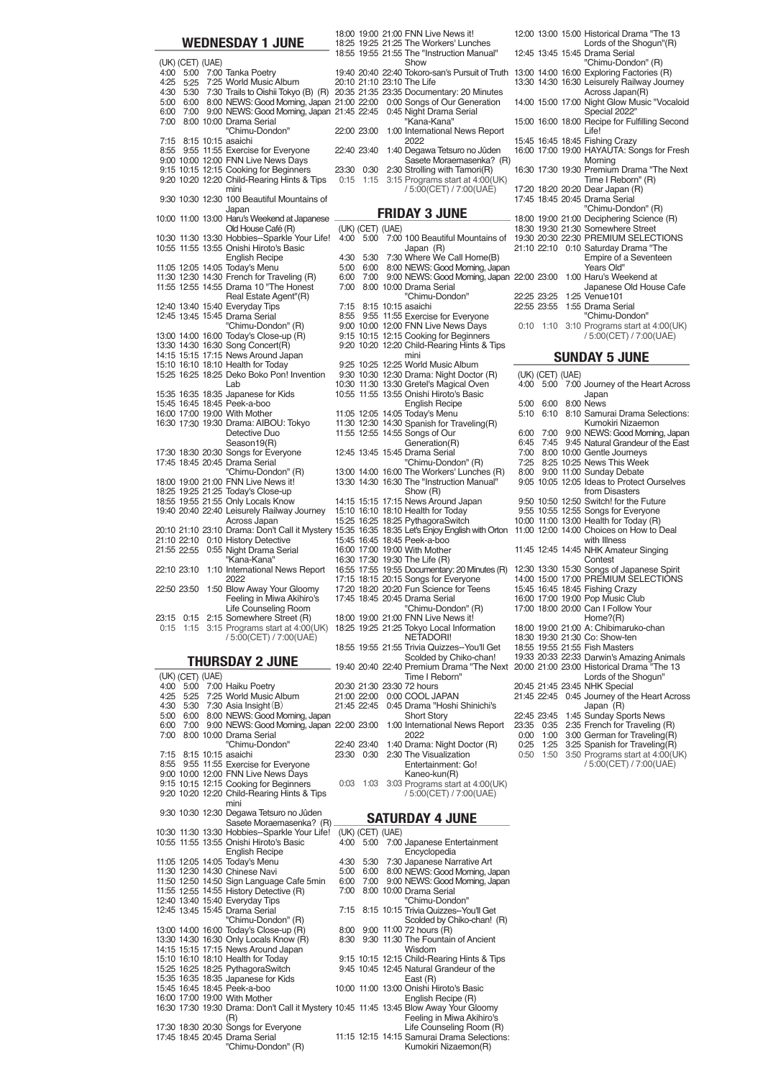|      |                  | <b>WEDNESDAY 1 JUNE</b>                                                                                                                                          |              |                           | 18:00 19:00 21:00 FNN Live News it!<br>18:25 19:25 21:25 The Workers' Lunches<br>18:55 19:55 21:55 The "Instruction Manual"                                                   |              |                  | 12:00 13:00 15:00 Historical Drama "The 13<br>Lords of the Shogun"(R)<br>12:45 13:45 15:45 Drama Serial |
|------|------------------|------------------------------------------------------------------------------------------------------------------------------------------------------------------|--------------|---------------------------|-------------------------------------------------------------------------------------------------------------------------------------------------------------------------------|--------------|------------------|---------------------------------------------------------------------------------------------------------|
|      | (UK) (CET) (UAE) |                                                                                                                                                                  |              |                           | Show                                                                                                                                                                          |              |                  | "Chimu-Dondon" (R)                                                                                      |
|      |                  | 4:00 5:00 7:00 Tanka Poetry<br>4:25 5:25 7:25 World Music Album                                                                                                  |              |                           | 19:40 20:40 22:40 Tokoro-san's Pursuit of Truth 13:00 14:00 16:00 Exploring Factories (R)<br>20:10 21:10 23:10 The Life                                                       |              |                  | 13:30 14:30 16:30 Leisurely Railway Journey                                                             |
|      |                  | 4:30 5:30 7:30 Trails to Oishii Tokyo (B) (R) 20:35 21:35 23:35 Documentary: 20 Minutes                                                                          |              |                           |                                                                                                                                                                               |              |                  | Across Japan(R)                                                                                         |
|      |                  | 5:00 6:00 8:00 NEWS: Good Moming, Japan 21:00 22:00 0:00 Songs of Our Generation<br>6:00 7:00 9:00 NEWS: Good Morning, Japan 21:45 22:45 0:45 Night Drama Serial |              |                           |                                                                                                                                                                               |              |                  | 14:00 15:00 17:00 Night Glow Music "Vocaloid<br>Special 2022"                                           |
|      |                  | 7:00 8:00 10:00 Drama Serial<br>"Chimu-Dondon"                                                                                                                   |              |                           | "Kana-Kana"<br>22:00 23:00 1:00 International News Report                                                                                                                     |              |                  | 15:00 16:00 18:00 Recipe for Fulfilling Second<br>Life!                                                 |
|      |                  | 7:15 8:15 10:15 asaichi                                                                                                                                          |              |                           | 2022                                                                                                                                                                          |              |                  | 15:45 16:45 18:45 Fishing Crazy                                                                         |
|      |                  | 8:55 9:55 11:55 Exercise for Everyone<br>9:00 10:00 12:00 FNN Live News Days                                                                                     |              |                           | 22:40 23:40 1:40 Degawa Tetsuro no Jûden<br>Sasete Moraemasenka? (R)                                                                                                          |              |                  | 16:00 17:00 19:00 HAYAUTA: Songs for Fresh<br>Morning                                                   |
|      |                  | 9:15 10:15 12:15 Cooking for Beginners<br>9:20 10:20 12:20 Child-Rearing Hints & Tips                                                                            |              | 23:30 0:30<br>$0:15$ 1:15 | 2:30 Strolling with Tamori(R)<br>3:15 Programs start at 4:00(UK)                                                                                                              |              |                  | 16:30 17:30 19:30 Premium Drama "The Next<br>Time I Reborn" (R)                                         |
|      |                  | mini                                                                                                                                                             |              |                           | / 5:00(CET) / 7:00(UAE)                                                                                                                                                       |              |                  | 17:20 18:20 20:20 Dear Japan (R)                                                                        |
|      |                  | 9:30 10:30 12:30 100 Beautiful Mountains of<br>Japan                                                                                                             |              |                           | <b>FRIDAY 3 JUNE</b>                                                                                                                                                          |              |                  | 17:45 18:45 20:45 Drama Serial<br>"Chimu-Dondon" (R)                                                    |
|      |                  | 10:00 11:00 13:00 Haru's Weekend at Japanese<br>Old House Café (R)                                                                                               |              | (UK) (CET) (UAE)          |                                                                                                                                                                               |              |                  | 18:00 19:00 21:00 Deciphering Science (R)<br>18:30 19:30 21:30 Somewhere Street                         |
|      |                  | 10:30 11:30 13:30 Hobbies--Sparkle Your Life!                                                                                                                    |              |                           | 4:00 5:00 7:00 100 Beautiful Mountains of 19:30 20:30 22:30 PREMIUM SELECTIONS                                                                                                |              |                  |                                                                                                         |
|      |                  | 10:55 11:55 13:55 Onishi Hiroto's Basic<br><b>English Recipe</b>                                                                                                 |              | 4:30 5:30                 | Japan (R)<br>7:30 Where We Call Home(B)                                                                                                                                       |              |                  | 21:10 22:10 0:10 Saturday Drama "The<br>Empire of a Seventeen                                           |
|      |                  | 11:05 12:05 14:05 Today's Menu                                                                                                                                   |              |                           | 5:00 6:00 8:00 NEWS: Good Morning, Japan                                                                                                                                      |              |                  | Years Old"                                                                                              |
|      |                  | 11:30 12:30 14:30 French for Traveling (R)<br>11:55 12:55 14:55 Drama 10 "The Honest                                                                             | 7:00         |                           | 6:00 7:00 9:00 NEWS: Good Morning, Japan 22:00 23:00 1:00 Haru's Weekend at<br>8:00 10:00 Drama Serial                                                                        |              |                  | Japanese Old House Cafe                                                                                 |
|      |                  | Real Estate Agent"(R)<br>12:40 13:40 15:40 Everyday Tips                                                                                                         |              |                           | "Chimu-Dondon"<br>7:15 8:15 10:15 asaichi                                                                                                                                     |              |                  | 22:25 23:25 1:25 Venue101<br>22:55 23:55 1:55 Drama Serial                                              |
|      |                  | 12:45 13:45 15:45 Drama Serial                                                                                                                                   |              |                           | 8:55 9:55 11:55 Exercise for Everyone                                                                                                                                         |              |                  | "Chimu-Dondon"                                                                                          |
|      |                  | "Chimu-Dondon" (R)<br>13:00 14:00 16:00 Today's Close-up (R)                                                                                                     |              |                           | 9:00 10:00 12:00 FNN Live News Days<br>9:15 10:15 12:15 Cooking for Beginners                                                                                                 |              |                  | $0:10$ 1:10 3:10 Programs start at 4:00(UK)<br>/ 5:00(CET) / 7:00(UAE)                                  |
|      |                  | 13:30 14:30 16:30 Song Concert(R)<br>14:15 15:15 17:15 News Around Japan                                                                                         |              |                           | 9:20 10:20 12:20 Child-Rearing Hints & Tips<br>mini                                                                                                                           |              |                  |                                                                                                         |
|      |                  | 15:10 16:10 18:10 Health for Today                                                                                                                               |              |                           | 9:25 10:25 12:25 World Music Album                                                                                                                                            |              |                  | <b>SUNDAY 5 JUNE</b>                                                                                    |
|      |                  | 15:25 16:25 18:25 Deko Boko Pon! Invention<br>Lab                                                                                                                |              |                           | 9:30 10:30 12:30 Drama: Night Doctor (R)<br>10:30 11:30 13:30 Gretel's Magical Oven                                                                                           |              | (UK) (CET) (UAE) | 4:00 5:00 7:00 Journey of the Heart Across                                                              |
|      |                  | 15:35 16:35 18:35 Japanese for Kids<br>15:45 16:45 18:45 Peek-a-boo                                                                                              |              |                           | 10:55 11:55 13:55 Onishi Hiroto's Basic<br><b>English Recipe</b>                                                                                                              |              |                  | Japan<br>5:00 6:00 8:00 News                                                                            |
|      |                  | 16:00 17:00 19:00 With Mother                                                                                                                                    |              |                           | 11:05 12:05 14:05 Today's Menu                                                                                                                                                |              |                  | 5:10 6:10 8:10 Samurai Drama Selections:                                                                |
|      |                  | 16:30 17:30 19:30 Drama: AIBOU: Tokyo<br>Detective Duo                                                                                                           |              |                           | 11:30 12:30 14:30 Spanish for Traveling(R)<br>11:55 12:55 14:55 Songs of Our                                                                                                  |              |                  | Kumokiri Nizaemon<br>6:00 7:00 9:00 NEWS: Good Morning, Japan                                           |
|      |                  | Season19(R)<br>17:30 18:30 20:30 Songs for Everyone                                                                                                              |              |                           | Generation(R)<br>12:45 13:45 15:45 Drama Serial                                                                                                                               | 7:00         |                  | 6:45 7:45 9:45 Natural Grandeur of the East<br>8:00 10:00 Gentle Journeys                               |
|      |                  | 17:45 18:45 20:45 Drama Serial                                                                                                                                   |              |                           | "Chimu-Dondon" (R)                                                                                                                                                            |              |                  | 7:25 8:25 10:25 News This Week                                                                          |
|      |                  | "Chimu-Dondon" (R)<br>18:00 19:00 21:00 FNN Live News it!                                                                                                        |              |                           | 13:00 14:00 16:00 The Workers' Lunches (R)<br>13:30 14:30 16:30 The "Instruction Manual"                                                                                      |              |                  | 8:00 9:00 11:00 Sunday Debate<br>9:05 10:05 12:05 Ideas to Protect Ourselves                            |
|      |                  | 18:25 19:25 21:25 Today's Close-up<br>18:55 19:55 21:55 Only Locals Know                                                                                         |              |                           | Show (R)<br>14:15 15:15 17:15 News Around Japan                                                                                                                               |              |                  | from Disasters<br>9:50 10:50 12:50 Switch! for the Future                                               |
|      |                  | 19:40 20:40 22:40 Leisurely Railway Journey                                                                                                                      |              |                           | 15:10 16:10 18:10 Health for Today                                                                                                                                            |              |                  | 9:55 10:55 12:55 Songs for Everyone                                                                     |
|      |                  | Across Japan                                                                                                                                                     |              |                           | 15:25 16:25 18:25 PythagoraSwitch<br>20:10 21:10 23:10 Drama: Don't Call it Mystery 15:35 16:35 18:35 Let's Enjoy English with Orton 11:00 12:00 14:00 Choices on How to Deal |              |                  | 10:00 11:00 13:00 Health for Today (R)                                                                  |
|      |                  | 21:10 22:10 0:10 History Detective<br>21:55 22:55 0:55 Night Drama Serial                                                                                        |              |                           | 15:45 16:45 18:45 Peek-a-boo<br>16:00 17:00 19:00 With Mother                                                                                                                 |              |                  | with Illness<br>11:45 12:45 14:45 NHK Amateur Singing                                                   |
|      |                  | "Kana-Kana"                                                                                                                                                      |              |                           | 16:30 17:30 19:30 The Life (R)                                                                                                                                                |              |                  | Contest                                                                                                 |
|      |                  | 22:10 23:10 1:10 International News Report<br>2022                                                                                                               |              |                           | 16:55 17:55 19:55 Documentary: 20 Minutes (R)<br>17:15 18:15 20:15 Songs for Everyone                                                                                         |              |                  | 12:30 13:30 15:30 Songs of Japanese Spirit<br>14:00 15:00 17:00 PREMIUM SELECTIONS                      |
|      |                  | 22:50 23:50 1:50 Blow Away Your Gloomy<br>Feeling in Miwa Akihiro's                                                                                              |              |                           | 17:20 18:20 20:20 Fun Science for Teens<br>17:45 18:45 20:45 Drama Serial                                                                                                     |              |                  | 15:45 16:45 18:45 Fishing Crazy<br>16:00 17:00 19:00 Pop Music Club                                     |
|      |                  | Life Counseling Room                                                                                                                                             |              |                           | "Chimu-Dondon" (R)                                                                                                                                                            |              |                  | 17:00 18:00 20:00 Can I Follow Your                                                                     |
|      |                  | 23:15 0:15 2:15 Somewhere Street (R)<br>$0:15$ 1:15 3:15 Programs start at 4:00(UK)                                                                              |              |                           | 18:00 19:00 21:00 FNN Live News it!<br>18:25 19:25 21:25 Tokyo Local Information                                                                                              |              |                  | Home $?$ $(R)$<br>18:00 19:00 21:00 A: Chibimaruko-chan                                                 |
|      |                  | / 5:00(CET) / 7:00(UAE)                                                                                                                                          |              |                           | NETADORI!<br>18:55 19:55 21:55 Trivia Quizzes--You'll Get                                                                                                                     |              |                  | 18:30 19:30 21:30 Co: Show-ten<br>18:55 19:55 21:55 Fish Masters                                        |
|      |                  | <b>THURSDAY 2 JUNE</b>                                                                                                                                           |              |                           | Scolded by Chiko-chan!                                                                                                                                                        |              |                  | 19:33 20:33 22:33 Darwin's Amazing Animals                                                              |
|      | (UK) (CET) (UAE) |                                                                                                                                                                  |              |                           | 19:40 20:40 22:40 Premium Drama "The Next 20:00 21:00 23:00 Historical Drama "The 13<br>Time I Reborn"                                                                        |              |                  | Lords of the Shogun"                                                                                    |
|      |                  | 4:00 5:00 7:00 Haiku Poetry<br>4:25 5:25 7:25 World Music Album                                                                                                  |              |                           | 20:30 21:30 23:30 72 hours<br>21:00 22:00 0:00 COOL JAPAN                                                                                                                     |              |                  | 20:45 21:45 23:45 NHK Special<br>21:45 22:45 0:45 Journey of the Heart Across                           |
|      |                  | 4:30 5:30 7:30 Asia Insight (B)                                                                                                                                  |              |                           | 21:45 22:45 0:45 Drama "Hoshi Shinichi's                                                                                                                                      |              |                  | Japan (R)                                                                                               |
| 6:00 |                  | 5:00 6:00 8:00 NEWS: Good Morning, Japan<br>7:00 9:00 NEWS: Good Morning, Japan 22:00 23:00 1:00 International News Report                                       |              |                           | <b>Short Story</b>                                                                                                                                                            |              | 22:45 23:45      | 1:45 Sunday Sports News<br>23:35 0:35 2:35 French for Traveling (R)                                     |
|      |                  | 7:00 8:00 10:00 Drama Serial<br>"Chimu-Dondon"                                                                                                                   | 22:40 23:40  |                           | 2022<br>1:40 Drama: Night Doctor (R)                                                                                                                                          | 0:00<br>0:25 |                  | 1:00 3:00 German for Traveling(R)<br>1:25 3:25 Spanish for Traveling(R)                                 |
|      |                  | 7:15 8:15 10:15 asaichi                                                                                                                                          |              | 23:30 0:30                | 2:30 The Visualization<br>Entertainment: Go!                                                                                                                                  | 0:50         | 1:50             | 3:50 Programs start at 4:00(UK)                                                                         |
|      |                  | 8:55 9:55 11:55 Exercise for Everyone<br>9:00 10:00 12:00 FNN Live News Days                                                                                     |              |                           | Kaneo-kun(R)                                                                                                                                                                  |              |                  | / 5:00(CET) / 7:00(UAE)                                                                                 |
|      |                  | 9:15 10:15 12:15 Cooking for Beginners<br>9:20 10:20 12:20 Child-Rearing Hints & Tips                                                                            |              | $0:03$ 1:03               | 3:03 Programs start at 4:00(UK)<br>/ 5:00(CET) / 7:00(UAE)                                                                                                                    |              |                  |                                                                                                         |
|      |                  | mini                                                                                                                                                             |              |                           |                                                                                                                                                                               |              |                  |                                                                                                         |
|      |                  | 9:30 10:30 12:30 Degawa Tetsuro no Jûden<br>Sasete Moraemasenka? (R)                                                                                             |              |                           | <b>SATURDAY 4 JUNE</b>                                                                                                                                                        |              |                  |                                                                                                         |
|      |                  | 10:30 11:30 13:30 Hobbies--Sparkle Your Life!<br>10:55 11:55 13:55 Onishi Hiroto's Basic                                                                         |              | (UK) (CET) (UAE)          | 4:00 5:00 7:00 Japanese Entertainment                                                                                                                                         |              |                  |                                                                                                         |
|      |                  | English Recipe                                                                                                                                                   |              |                           | Encyclopedia                                                                                                                                                                  |              |                  |                                                                                                         |
|      |                  | 11:05 12:05 14:05 Today's Menu<br>11:30 12:30 14:30 Chinese Navi                                                                                                 |              | 4:30 5:30<br>5:00 6:00    | 7:30 Japanese Narrative Art<br>8:00 NEWS: Good Morning, Japan                                                                                                                 |              |                  |                                                                                                         |
|      |                  | 11:50 12:50 14:50 Sign Language Cafe 5min<br>11:55 12:55 14:55 History Detective (R)                                                                             | 6:00<br>7:00 | 7:00                      | 9:00 NEWS: Good Morning, Japan<br>8:00 10:00 Drama Serial                                                                                                                     |              |                  |                                                                                                         |
|      |                  | 12:40 13:40 15:40 Everyday Tips                                                                                                                                  |              |                           | "Chimu-Dondon"                                                                                                                                                                |              |                  |                                                                                                         |
|      |                  | 12:45 13:45 15:45 Drama Serial<br>"Chimu-Dondon" (R)                                                                                                             |              |                           | 7:15 8:15 10:15 Trivia Quizzes--You'll Get<br>Scolded by Chiko-chan! (R)                                                                                                      |              |                  |                                                                                                         |
|      |                  | 13:00 14:00 16:00 Today's Close-up (R)<br>13:30 14:30 16:30 Only Locals Know (R)                                                                                 |              |                           | 8:00 9:00 11:00 72 hours (R)<br>8:30 9:30 11:30 The Fountain of Ancient                                                                                                       |              |                  |                                                                                                         |
|      |                  | 14:15 15:15 17:15 News Around Japan                                                                                                                              |              |                           | Wisdom                                                                                                                                                                        |              |                  |                                                                                                         |
|      |                  | 15:10 16:10 18:10 Health for Today<br>15:25 16:25 18:25 PythagoraSwitch                                                                                          |              |                           | 9:15 10:15 12:15 Child-Rearing Hints & Tips<br>9:45 10:45 12:45 Natural Grandeur of the                                                                                       |              |                  |                                                                                                         |
|      |                  | 15:35 16:35 18:35 Japanese for Kids<br>15:45 16:45 18:45 Peek-a-boo                                                                                              |              |                           | East (R)<br>10:00 11:00 13:00 Onishi Hiroto's Basic                                                                                                                           |              |                  |                                                                                                         |
|      |                  | 16:00 17:00 19:00 With Mother                                                                                                                                    |              |                           | English Recipe (R)                                                                                                                                                            |              |                  |                                                                                                         |
|      |                  | 16:30 17:30 19:30 Drama: Don't Call it Mystery 10:45 11:45 13:45 Blow Away Your Gloomy<br>(R)                                                                    |              |                           | Feeling in Miwa Akihiro's                                                                                                                                                     |              |                  |                                                                                                         |
|      |                  | 17:30 18:30 20:30 Songs for Everyone<br>17:45 18:45 20:45 Drama Serial                                                                                           |              |                           | Life Counseling Room (R)<br>11:15 12:15 14:15 Samurai Drama Selections:                                                                                                       |              |                  |                                                                                                         |
|      |                  | "Chimu-Dondon" (R)                                                                                                                                               |              |                           | Kumokiri Nizaemon(R)                                                                                                                                                          |              |                  |                                                                                                         |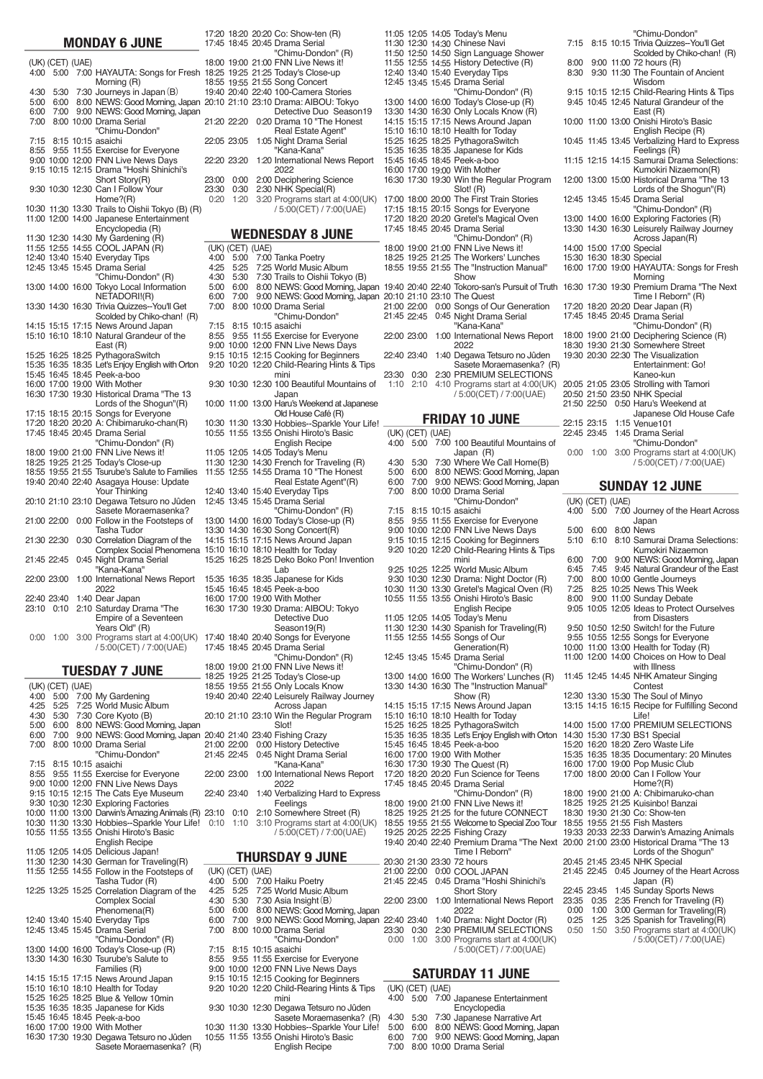|              |                  | <b>MONDAY 6 JUNE</b>                                                                         | 17:20<br>17:45 |
|--------------|------------------|----------------------------------------------------------------------------------------------|----------------|
|              | (UK) (CET) (UAE) |                                                                                              | 18:00          |
| 4:00         | 5:00             | 7:00 HAYAUTA: Songs for Fresh                                                                | 18:25          |
| 4:30         | 5:30             | Morning (R)<br>7:30 Journeys in Japan (B)                                                    | 18:55<br>19:40 |
| 5:00         | 6:00             | 8:00 NEWS: Good Morning, Japan                                                               | 20:10          |
| 6:00         | 7:00             | 9:00 NEWS: Good Morning, Japan                                                               |                |
| 7:00         |                  | 8:00 10:00 Drama Serial<br>"Chimu-Dondon"                                                    | 21:20          |
| 7:15         |                  | 8:15 10:15 asaichi                                                                           | 22:05          |
| 8:55         |                  | 9:55 11:55 Exercise for Everyone                                                             |                |
|              |                  | 9:00 10:00 12:00 FNN Live News Days<br>9:15 10:15 12:15 Drama "Hoshi Shinichi's              | 22:20          |
|              |                  | Short Story(R)                                                                               | 23:00          |
|              |                  | 9:30 10:30 12:30 Can I Follow Your<br>Home?(R)                                               | 23:30<br>0:20  |
|              |                  | 10:30 11:30 13:30 Trails to Oishii Tokyo (B) (R)                                             |                |
|              |                  | 11:00 12:00 14:00 Japanese Entertainment                                                     |                |
|              |                  | Encyclopedia (R)                                                                             |                |
|              |                  | 11:30 12:30 14:30 My Gardening (R)                                                           |                |
|              |                  | 11:55 12:55 14:55 COOL JAPAN (R)<br>12:40 13:40 15:40 Everyday Tips                          | (UK)<br>4:00   |
|              |                  | 12:45 13:45 15:45 Drama Serial                                                               | 4:25           |
|              |                  | "Chimu-Dondon" (R)                                                                           | 4:30           |
|              |                  | 13:00 14:00 16:00 Tokyo Local Information                                                    | 5:00           |
|              |                  | NETADORI!(R)                                                                                 | 6:00           |
|              |                  | 13:30 14:30 16:30 Trivia Quizzes--You'll Get                                                 | 7:00           |
|              |                  | Scolded by Chiko-chan! (R)                                                                   |                |
|              |                  | 14:15 15:15 17:15 News Around Japan                                                          | 7:15           |
|              |                  | 15:10 16:10 18:10 Natural Grandeur of the                                                    | 8:55           |
|              |                  | East (R)<br>15:25 16:25 18:25 PythagoraSwitch                                                | 9:00<br>9:15   |
|              |                  | 15:35 16:35 18:35 Let's Enjoy English with Orton                                             | 9:20           |
|              |                  | 15:45 16:45 18:45 Peek-a-boo                                                                 |                |
|              |                  | 16:00 17:00 19:00 With Mother                                                                | 9:30           |
|              |                  | 16:30 17:30 19:30 Historical Drama "The 13                                                   |                |
|              |                  | Lords of the Shogun"(R)<br>17:15 18:15 20:15 Songs for Everyone                              | 10:00          |
|              |                  | 17:20 18:20 20:20 A: Chibimaruko-chan(R)                                                     | 10:30          |
|              |                  | 17:45 18:45 20:45 Drama Serial                                                               | 10:55          |
|              |                  | "Chimu-Dondon" (R)                                                                           |                |
|              |                  | 18:00 19:00 21:00 FNN Live News it!                                                          | 11:05          |
|              |                  | 18:25 19:25 21:25 Today's Close-up                                                           | 11:30          |
|              |                  | 18:55 19:55 21:55 Tsurube's Salute to Families                                               | 11:55          |
|              |                  | 19:40 20:40 22:40 Asagaya House: Update<br>Your Thinking                                     | 12:40          |
|              |                  | 20:10 21:10 23:10 Degawa Tetsuro no Jûden                                                    | 12:45          |
|              |                  | Sasete Moraemasenka?                                                                         |                |
|              | 21:00 22:00      | 0:00 Follow in the Footsteps of                                                              | 13:00          |
|              |                  | <b>Tasha Tudor</b>                                                                           | 13:30          |
|              | 21:30 22:30      | 0:30 Correlation Diagram of the                                                              | 14:15          |
|              | 21:45 22:45      | Complex Social Phenomena                                                                     | 15:10<br>15:25 |
|              |                  | 0:45 Night Drama Serial<br>"Kana-Kana"                                                       |                |
|              | 22:00 23:00      | 1:00 International News Report                                                               | 15:35          |
|              |                  | 2022                                                                                         | 15:45          |
|              | 22:40 23:40      | 1:40 Dear Japan                                                                              | 16:00          |
| 23:10        | 0:10             | 2:10 Saturday Drama "The                                                                     | 16:30          |
|              |                  | Empire of a Seventeen                                                                        |                |
| 0:00         | 1:00             | Years Old" (R)<br>3:00 Programs start at 4:00(UK)                                            | 17:40          |
|              |                  | / 5:00(CET) / 7:00(UAE)                                                                      | 17:45          |
|              |                  |                                                                                              |                |
|              |                  | <b>TUESDAY 7 JUNE</b>                                                                        | 18:00<br>18:25 |
|              | (UK) (CET) (UAE) |                                                                                              | 18:55          |
| 4:00         | 5:00             | 7:00 My Gardening                                                                            | 19:40          |
| 4:25         | 5:25             | 7:25 World Music Album                                                                       |                |
| 4:30<br>5:00 | 5:30<br>6:00     | 7:30 Core Kyoto (B)                                                                          | 20:10          |
| 6:00         | 7:00             | 8:00 NEWS: Good Morning, Japan<br>9:00 NEWS: Good Morning, Japan 20:40                       |                |
| 7:00         |                  | 8:00 10:00 Drama Serial                                                                      | 21:00          |
|              |                  | "Chimu-Dondon"                                                                               | 21:45          |
| 7:15         |                  | 8:15 10:15 asaichi                                                                           |                |
| 8:55         |                  | 9:55 11:55 Exercise for Everyone                                                             | 22:00          |
|              |                  | 9:00 10:00 12:00 FNN Live News Days<br>9:15 10:15 12:15 The Cats Eye Museum                  |                |
|              |                  |                                                                                              | 22:40          |
|              |                  | 9:30 10:30 12:30 Exploring Factories<br>10:00 11:00 13:00 Darwin's Amazing Animals (R) 23:10 |                |
|              |                  |                                                                                              |                |

|  |  | 9:00 10:00 12:00 FNN Live News Days            |
|--|--|------------------------------------------------|
|  |  | 9:15 10:15 12:15 The Cats Eye Museum           |
|  |  | 9:30 10:30 12:30 Exploring Factories           |
|  |  | 10:00 11:00 13:00 Darwin's Amazing Animals (R) |
|  |  | 10:30 11:30 13:30 Hobbies--Sparkle Your Life!  |
|  |  | 10:55 11:55 13:55 Onishi Hiroto's Basic        |
|  |  | <b>English Recipe</b>                          |
|  |  | 11:05 12:05 14:05 Delicious Japan!             |
|  |  | 11:30 12:30 14:30 German for Traveling(R)      |
|  |  | 11:55 12:55 14:55 Follow in the Footsteps of   |
|  |  | Tasha Tudor (R)                                |
|  |  | 12:25 13:25 15:25 Correlation Diagram of the   |
|  |  | <b>Complex Social</b>                          |
|  |  | Phenomena(R)                                   |
|  |  | 12:40 13:40 15:40 Everyday Tips                |
|  |  | 12:45 13:45 15:45 Drama Serial                 |
|  |  | "Chimu-Dondon" (R)                             |
|  |  | 13:00 14:00 16:00 Today's Close-up (R)         |
|  |  | 13:30 14:30 16:30 Tsurube's Salute to          |
|  |  | Families (R)                                   |
|  |  | 14:15 15:15 17:15 News Around Japan            |
|  |  | 15:10 16:10 18:10 Health for Today             |
|  |  | 15:25 16:25 18:25 Blue & Yellow 10min          |
|  |  | 15:35 16:35 18:35 Japanese for Kids            |
|  |  | 15:45 16:45 18:45 Peek-a-boo                   |
|  |  | 16:00 17:00 19:00 With Mother                  |
|  |  | 16:30 17:30 19:30 Degawa Tetsuro no Jûden      |
|  |  | Sasete Moraemasenka? (R)                       |
|  |  |                                                |

|                |                            | 17:20 18:20 20:20 Co: Show-ten (R)<br>17:45 18:45 20:45 Drama Serial          |
|----------------|----------------------------|-------------------------------------------------------------------------------|
|                |                            | "Chimu-Dondon" (R)                                                            |
|                |                            | 18:00 19:00 21:00 FNN Live News it!<br>18:25 19:25 21:25 Today's Close-up     |
|                |                            | 18:55 19:55 21:55 Song Concert                                                |
|                |                            | 19:40 20:40 22:40 100-Camera Stories<br>20:10 21:10 23:10 Drama: AIBOU: Tokyo |
|                |                            | Detective Duo Season19                                                        |
|                | 21:20 22:20                | 0:20 Drama 10 "The Honest<br>Real Estate Agent"                               |
|                | 22:05 23:05                | 1:05 Night Drama Serial<br>"Kana-Kana"                                        |
|                | 22:20 23:20                | 1:20 International News Report<br>2022                                        |
| 23:00<br>23:30 | 0:00<br>0:30               | 2:00 Deciphering Science<br>2:30 NHK Special(R)                               |
| 0:20           | 1:20                       | 3:20 Programs start at 4:00(UK)                                               |
|                |                            | / 5:00(CET) / 7:00(UAE)                                                       |
|                |                            | <b>WEDNESDAY 8 JUNE</b>                                                       |
|                | (UK) (CET) (UAE)           |                                                                               |
| 4:00           | 5:00                       | 7:00 Tanka Poetry                                                             |
| 4:25<br>4:30   | 5:25<br>5:30               | 7:25 World Music Album<br>7:30 Trails to Oishii Tokyo (B)                     |
| 5:00           | 6:00                       | 8:00 NEWS: Good Morning, Japan                                                |
| 6:00<br>7:00   | 7:00                       | 9:00 NEWS: Good Morning, Japan                                                |
|                |                            | 8:00 10:00 Drama Serial<br>"Chimu-Dondon"                                     |
| 7:15           | 8:15                       | 10:15 asaichi                                                                 |
| 8:55           | 9:55                       | 11:55 Exercise for Everyone<br>9:00 10:00 12:00 FNN Live News Days            |
|                | 9:15 10:15                 | 12:15 Cooking for Beginners                                                   |
|                | 9:20 10:20                 | 12:20 Child-Rearing Hints & Tips                                              |
|                | 9:30 10:30                 | mini<br>12:30 100 Beautiful Mountains of<br>Japan                             |
|                | 10:00 11:00                | 13:00 Haru's Weekend at Japanese<br>Old House Café (R)                        |
|                | 10:30 11:30                | 13:30 Hobbies--Sparkle Your Life!                                             |
| 10:55          | 11:55                      | 13:55 Onishi Hiroto's Basic<br><b>English Recipe</b>                          |
|                | 11:05 12:05                | 14:05 Today's Menu                                                            |
|                | 11:30 12:30<br>11:55 12:55 | 14:30 French for Traveling (R)<br>14:55 Drama 10 "The Honest                  |
|                |                            | Real Estate Agent"(R)                                                         |
|                | 12:40 13:40                | 15:40 Everyday Tips                                                           |
|                | 12:45 13:45                | 15:45 Drama Serial<br>"Chimu-Dondon" (R)                                      |
|                | 13:00 14:00                | 16:00 Today's Close-up (R)                                                    |
|                | 13:30 14:30<br>14:15 15:15 | 16:30 Song Concert(R)<br>17:15 News Around Japan                              |
|                | 15:10 16:10                | 18:10 Health for Today                                                        |
|                | 15:25 16:25                | 18:25 Deko Boko Pon! Invention<br>Lab                                         |
|                | 15:35 16:35                | 18:35 Japanese for Kids                                                       |
|                | 15:45 16:45                | 18:45 Peek-a-boo                                                              |
|                |                            | 16:00 17:00 19:00 With Mother<br>16:30 17:30 19:30 Drama: AIBOU: Tokyo        |
|                |                            | Detective Duo                                                                 |
|                |                            | Season19(R)<br>17:40 18:40 20:40 Songs for Everyone                           |
|                |                            | 17:45 18:45 20:45 Drama Serial                                                |
|                |                            | "Chimu-Dondon" (R)<br>18:00 19:00 21:00 FNN Live News it!                     |
|                |                            | 18:25 19:25 21:25 Today's Close-up                                            |
|                |                            | 18:55 19:55 21:55 Only Locals Know                                            |
|                |                            | 19:40 20:40 22:40 Leisurely Railway Journey<br>Across Japan                   |
|                |                            | 20:10 21:10 23:10 Win the Regular Program                                     |
|                |                            | Slot!<br>20:40 21:40 23:40 Fishing Crazy                                      |
|                | 21:00 22:00                | 0:00 History Detective                                                        |
|                | 21:45 22:45                | 0:45 Night Drama Serial<br>"Kana-Kana"                                        |
|                | 22:00 23:00                | 1:00 International News Report                                                |
|                | 22:40 23:40                | 2022<br>1:40 Verbalizing Hard to Express                                      |
| 23:10          | 0:10                       | Feelings<br>2:10 Somewhere Street (R)                                         |
| 0:10           | 1:10                       | 3:10 Programs start at 4:00(UK)                                               |
|                |                            | / 5:00(CET) / 7:00(UAE)                                                       |
|                |                            | <b>THURSDAY 9 JUNE</b>                                                        |
| 4:00           | (UK) (CET) (UAE)<br>5:00   | 7:00 Haiku Poetry                                                             |
| 4:25           | 5:25                       | 7:25 World Music Album                                                        |
| 4:30           | 5:30                       | 7:30 Asia Insight $(B)$                                                       |
| 5:00<br>6:00   | 6:00<br>7:00               | 8:00 NEWS: Good Morning, Japan<br>9:00 NEWS: Good Morning, Japan              |
| 7:00           |                            | 8:00 10:00 Drama Serial                                                       |
|                |                            | "Chimu-Dondon"<br>7:15 8:15 10:15 asaichi                                     |
| 8:55           |                            | 9:55 11:55 Exercise for Everyone                                              |
|                |                            | 9:00 10:00 12:00 FNN Live News Days<br>9:15 10:15 12:15 Cooking for Beginners |
|                |                            | 9:20 10:20 12:20 Child-Rearing Hints & Tips                                   |
|                |                            | mini                                                                          |
|                |                            | 9:30 10:30 12:30 Degawa Tetsuro no Jûden<br>Sasete Moraemasenka? (R)          |
|                |                            | 10:30 11:30 13:30 Hobbies--Sparkle Your Life!                                 |
|                |                            | 10:55 11:55 13:55 Onishi Hiroto's Basic                                       |

English Recipe

|       |                          | 11:05 12:05 14:05 Today's Menu                                                                              |                |
|-------|--------------------------|-------------------------------------------------------------------------------------------------------------|----------------|
|       |                          | 11:30 12:30 14:30 Chinese Navi                                                                              | 7:15           |
|       |                          | 11:50 12:50 14:50 Sign Language Shower                                                                      |                |
|       |                          | 11:55 12:55 14:55 History Detective (R)<br>12:40 13:40 15:40 Everyday Tips                                  | 8:00<br>8:30   |
|       |                          | 12:45 13:45 15:45 Drama Serial                                                                              |                |
|       |                          | "Chimu-Dondon" (R)                                                                                          | 9:15           |
|       | 13:00 14:00              | 16:00 Today's Close-up (R)                                                                                  | 9:45           |
|       | 13:30 14:30              | 16:30 Only Locals Know (R)                                                                                  |                |
| 14:15 |                          | 15:15 17:15 News Around Japan                                                                               | 10:00          |
| 15:25 |                          | 15:10 16:10 18:10 Health for Today<br>16:25 18:25 PythagoraSwitch                                           | 10:45          |
|       |                          | 15:35 16:35 18:35 Japanese for Kids                                                                         |                |
|       |                          | 15:45 16:45 18:45 Peek-a-boo                                                                                | 11:15          |
|       |                          | 16:00 17:00 19:00 With Mother                                                                               |                |
| 16:30 |                          | 17:30 19:30 Win the Regular Program                                                                         | 12:00          |
|       |                          | Slot! (R)<br>17:00 18:00 20:00 The First Train Stories                                                      | 12:45          |
|       |                          | 17:15 18:15 20:15 Songs for Everyone                                                                        |                |
|       |                          | 17:20 18:20 20:20 Gretel's Magical Oven                                                                     | 13:00          |
|       |                          | 17:45 18:45 20:45 Drama Serial                                                                              | 13:30          |
|       |                          | "Chimu-Dondon" (R)                                                                                          |                |
|       |                          | 18:00 19:00 21:00 FNN Live News it!                                                                         | 14:00          |
|       |                          | 18:25 19:25 21:25 The Workers' Lunches<br>18:55 19:55 21:55 The "Instruction Manual"                        | 15:30<br>16:00 |
|       |                          | Show                                                                                                        |                |
|       |                          | 19:40 20:40 22:40 Tokoro-san's Pursuit of Truth                                                             | 16:30          |
|       |                          | 20:10 21:10 23:10 The Quest                                                                                 |                |
|       |                          | 21:00 22:00 0:00 Songs of Our Generation                                                                    | 17:20          |
|       | 21:45 22:45              | 0:45 Night Drama Serial<br>"Kana-Kana"                                                                      | 17:45          |
|       | 22:00 23:00              | 1:00 International News Report                                                                              | 18:00          |
|       |                          | 2022                                                                                                        | 18:30          |
|       | 22:40 23:40              | 1:40 Degawa Tetsuro no Jûden                                                                                | 19:30          |
|       |                          | Sasete Moraemasenka? (R)                                                                                    |                |
| 23:30 | 0:30                     | 2:30 PREMIUM SELECTIONS                                                                                     |                |
| 1:10  | 2:10                     | 4:10 Programs start at 4:00(UK)                                                                             | 20:05          |
|       |                          | / 5:00(CET) / 7:00(UAE)                                                                                     | 20:50<br>21:50 |
|       |                          |                                                                                                             |                |
|       |                          |                                                                                                             |                |
|       |                          | <b>FRIDAY 10 JUNE</b>                                                                                       | 22:15          |
| 4:00  | (UK) (CET) (UAE)<br>5:00 | 7:00 100 Beautiful Mountains of                                                                             | 22:45          |
|       |                          | Japan (R)                                                                                                   | 0:00           |
| 4:30  | 5:30                     | 7:30 Where We Call Home(B)                                                                                  |                |
| 5:00  | 6:00                     | 8:00 NEWS: Good Morning, Japan                                                                              |                |
| 6:00  | 7:00                     | 9:00 NEWS: Good Morning, Japan                                                                              |                |
| 7:00  |                          | 8:00 10:00 Drama Serial                                                                                     |                |
| 7:15  |                          | "Chimu-Dondon"<br>8:15 10:15 asaichi                                                                        | (UK)<br>4:00   |
| 8:55  |                          | 9:55 11:55 Exercise for Everyone                                                                            |                |
|       |                          | 9:00 10:00 12:00 FNN Live News Days                                                                         | 5:00           |
| 9:15  |                          | 10:15 12:15 Cooking for Beginners                                                                           | 5:10           |
|       |                          | 9:20 10:20 12:20 Child-Rearing Hints & Tips                                                                 |                |
|       |                          | mini<br>9:25 10:25 12:25 World Music Album                                                                  | 6:00<br>6:45   |
|       |                          | 9:30 10:30 12:30 Drama: Night Doctor (R)                                                                    | 7:00           |
|       |                          | 10:30 11:30 13:30 Gretel's Magical Oven (R)                                                                 | 7:25           |
|       |                          | 10:55 11:55 13:55 Onishi Hiroto's Basic                                                                     | 8:00           |
|       |                          | <b>English Recipe</b>                                                                                       | 9:05           |
|       |                          | 11:05 12:05 14:05 Today's Menu                                                                              |                |
|       |                          | 11:30 12:30 14:30 Spanish for Traveling(R)                                                                  | 9:50<br>9:55   |
|       |                          | 11:55 12:55 14:55 Songs of Our<br>Generation(R)                                                             | 10:00          |
|       |                          | 12:45 13:45 15:45 Drama Serial                                                                              | 11:00          |
|       |                          | "Chimu-Dondon" (R)                                                                                          |                |
|       |                          | 13:00 14:00 16:00 The Workers' Lunches (R)                                                                  | 11:45          |
|       |                          | 13:30 14:30 16:30 The "Instruction Manual"                                                                  |                |
|       |                          | Show (R)<br>14:15 15:15 17:15 News Around Japan                                                             | 12:30<br>13:15 |
|       |                          | 15:10 16:10 18:10 Health for Today                                                                          |                |
|       |                          | 15:25 16:25 18:25 PythagoraSwitch                                                                           | 14:00          |
|       |                          |                                                                                                             | 14:30          |
|       |                          | 15:35 16:35 18:35 Let's Enjoy English with Orton<br>15:45 16:45 18:45 Peek-a-boo                            | 15:20          |
|       |                          |                                                                                                             | 15:35          |
|       |                          | 16:00 17:00 19:00 With Mother<br>16:30 17:30 19:30 The Quest (R)<br>17:20 18:20 20:20 Fun Science for Teens | 16:00<br>17:00 |

|   |              | "Chimu-Dondon"                                                      |
|---|--------------|---------------------------------------------------------------------|
| ; |              | 8:15 10:15 Trivia Quizzes--You'll Get<br>Scolded by Chiko-chan! (R) |
|   |              | 9:00 11:00 72 hours (R)                                             |
|   |              | 9:30 11:30 The Fountain of Ancient                                  |
|   |              | Wisdom                                                              |
|   |              | 10:15 12:15 Child-Rearing Hints & Tips                              |
|   |              | 10:45 12:45 Natural Grandeur of the                                 |
| ) |              | East (R)<br>11:00 13:00 Onishi Hiroto's Basic                       |
|   |              | English Recipe (R)                                                  |
| ; |              | 11:45 13:45 Verbalizing Hard to Express                             |
|   |              | Feelings (R)                                                        |
| ; |              | 12:15 14:15 Samurai Drama Selections:                               |
|   |              | Kumokiri Nizaemon(R)                                                |
| ) |              | 13:00 15:00 Historical Drama "The 13                                |
| j |              | Lords of the Shogun"(R)<br>13:45 15:45 Drama Serial                 |
|   |              | "Chimu-Dondon" (R)                                                  |
| ) |              | 14:00 16:00 Exploring Factories (R)                                 |
| ) |              | 14:30 16:30 Leisurely Railway Journey                               |
|   |              | Across Japan(R)                                                     |
| ) |              | 15:00 17:00 Special                                                 |
|   |              | 16:30 18:30 Special                                                 |
| ) |              | 17:00 19:00 HAYAUTA: Songs for Fresh<br>Morning                     |
| ) |              | 17:30 19:30 Premium Drama "The Next                                 |
|   |              | Time I Reborn" (R)                                                  |
| I |              | 18:20 20:20 Dear Japan (R)                                          |
| , |              | 18:45 20:45 Drama Serial                                            |
|   |              | "Chimu-Dondon" (R)                                                  |
| I |              | 19:00 21:00 Deciphering Science (R)<br>19:30 21:30 Somewhere Street |
| ١ |              | 20:30 22:30 The Visualization                                       |
|   |              | Entertainment: Go!                                                  |
|   |              | Kaneo-kun                                                           |
|   |              | 21:05 23:05 Strolling with Tamori                                   |
|   |              | 21:50 23:50 NHK Special                                             |
|   | 22:50        | 0:50 Haru's Weekend at                                              |
|   | 23:15        | Japanese Old House Cafe<br>1:15 Venue101                            |
|   | 23:45        | 1:45 Drama Serial                                                   |
|   |              | "Chimu-Dondon"                                                      |
| ) | 1:00         | 3:00 Programs start at 4:00(UK)                                     |
|   |              | / 5:00(CET) / 7:00(UAE)                                             |
|   |              |                                                                     |
|   |              | <b>SUNDAY 12 JUNE</b>                                               |
|   | (CET) (UAE)  |                                                                     |
|   | 5:00         | 7:00 Journey of the Heart Across                                    |
|   |              | Japan                                                               |
|   | 6:00<br>6:10 | 8:00 News<br>8:10 Samurai Drama Selections:                         |
|   |              | Kumokiri Nizaemon                                                   |
|   | 7:00         | 9:00 NEWS: Good Morning, Japan                                      |
|   | 7.45         | 9:45 Natural Grandeur of the Fast                                   |

| <b>FNN Live News Days</b>                                          | 5:00  | 6:00        | 8:00 News                                      |
|--------------------------------------------------------------------|-------|-------------|------------------------------------------------|
| <b>Cooking for Beginners</b>                                       | 5:10  | 6:10        | 8:10 Samurai Drama Selections:                 |
| Child-Rearing Hints & Tips                                         |       |             | Kumokiri Nizaemon                              |
| mini                                                               | 6:00  | 7:00        | 9:00 NEWS: Good Morning, Japan                 |
| World Music Album                                                  | 6:45  | 7:45        | 9:45 Natural Grandeur of the East              |
| Drama: Night Doctor (R)                                            | 7:00  |             | 8:00 10:00 Gentle Journeys                     |
| Gretel's Magical Oven (R)                                          | 7:25  |             | 8:25 10:25 News This Week                      |
| Onishi Hiroto's Basic                                              | 8:00  |             | 9:00 11:00 Sunday Debate                       |
| <b>English Recipe</b>                                              |       |             | 9:05 10:05 12:05 Ideas to Protect Ourselves    |
| <b>Today's Menu</b>                                                |       |             | from Disasters                                 |
| Spanish for Traveling(R)                                           |       |             | 9:50 10:50 12:50 Switch! for the Future        |
| Songs of Our                                                       |       |             | 9:55 10:55 12:55 Songs for Everyone            |
| Generation(R)                                                      |       |             | 10:00 11:00 13:00 Health for Today (R)         |
| Drama Serial                                                       |       |             | 11:00 12:00 14:00 Choices on How to Deal       |
| "Chimu-Dondon" (R)                                                 |       |             | with Illness                                   |
| The Workers' Lunches (R)                                           |       |             | 11:45 12:45 14:45 NHK Amateur Singing          |
| The "Instruction Manual"                                           |       |             | Contest                                        |
| Show (R)                                                           |       |             | 12:30 13:30 15:30 The Soul of Minyo            |
| News Around Japan                                                  |       |             | 13:15 14:15 16:15 Recipe for Fulfilling Second |
| Health for Today                                                   |       |             | Life!                                          |
| PythagoraSwitch                                                    |       |             | 14:00 15:00 17:00 PREMIUM SELECTIONS           |
| Let's Enjoy English with Orton                                     |       |             | 14:30 15:30 17:30 BS1 Special                  |
| Peek-a-boo                                                         |       |             | 15:20 16:20 18:20 Zero Waste Life              |
| <b>With Mother</b>                                                 |       |             | 15:35 16:35 18:35 Documentary: 20 Minutes      |
| The Quest (R)                                                      |       |             | 16:00 17:00 19:00 Pop Music Club               |
| Fun Science for Teens                                              |       |             | 17:00 18:00 20:00 Can I Follow Your            |
| Drama Serial                                                       |       |             | Home?(R)                                       |
| "Chimu-Dondon" (R)                                                 |       |             | 18:00 19:00 21:00 A: Chibimaruko-chan          |
| FNN Live News it!                                                  |       |             | 18:25 19:25 21:25 Kuisinbo! Banzai             |
| for the future CONNECT                                             |       |             | 18:30 19:30 21:30 Co: Show-ten                 |
| Welcome to Special Zoo Tour                                        |       |             | 18:55 19:55 21:55 Fish Masters                 |
| <b>Fishing Crazy</b>                                               |       |             | 19:33 20:33 22:33 Darwin's Amazing Animals     |
| Premium Drama "The Next 20:00 21:00 23:00 Historical Drama "The 13 |       |             |                                                |
| Time I Reborn"                                                     |       |             | Lords of the Shogun"                           |
| 72 hours                                                           |       |             | 20:45 21:45 23:45 NHK Special                  |
| <b>COOL JAPAN</b>                                                  |       | 21:45 22:45 | 0:45 Journey of the Heart Across               |
| Drama "Hoshi Shinichi's                                            |       |             | Japan (R)                                      |
| <b>Short Story</b>                                                 |       | 22:45 23:45 | 1:45 Sunday Sports News                        |
| <b>International News Report</b>                                   | 23:35 | 0:35        | 2:35 French for Traveling (R)                  |
| 2022                                                               | 0:00  | 1:00        | 3:00 German for Traveling(R)                   |
| Drama: Night Doctor (R)                                            | 0:25  | 1:25        | 3:25 Spanish for Traveling(R)                  |
| PREMIUM SELECTIONS                                                 | 0:50  | 1:50        | 3:50 Programs start at 4:00(UK)                |
| Programs start at 4:00(UK)                                         |       |             | / 5:00(CET) / 7:00(UAE)                        |
| / 5:00(CET) / 7:00(UAE)                                            |       |             |                                                |
|                                                                    |       |             |                                                |

## **SATURDAY 11 JUNE**

18:00 18:25 18:55 19:25 19:40 19:00 19:25 19:55 20:25 20:40 21:00 21:25 21:55 22:25 22:40

23:30 0:00 0:45

1:00

1:40 2:30 3:00

21:30 22:00 22:45

23:00

23:40 0:30 1:00

20:30 21:00 21:45

22:00

22:40 23:30 0:00

|  | (UK) (CET) (UAE) |                                          |
|--|------------------|------------------------------------------|
|  |                  | 4:00 5:00 7:00 Japanese Entertainment    |
|  |                  | Encyclopedia                             |
|  |                  | 4:30 5:30 7:30 Japanese Narrative Art    |
|  |                  | 5:00 6:00 8:00 NEWS: Good Morning, Japan |
|  |                  | 6:00 7:00 9:00 NEWS: Good Morning, Japan |
|  |                  | 7:00 8:00 10:00 Drama Serial             |
|  |                  |                                          |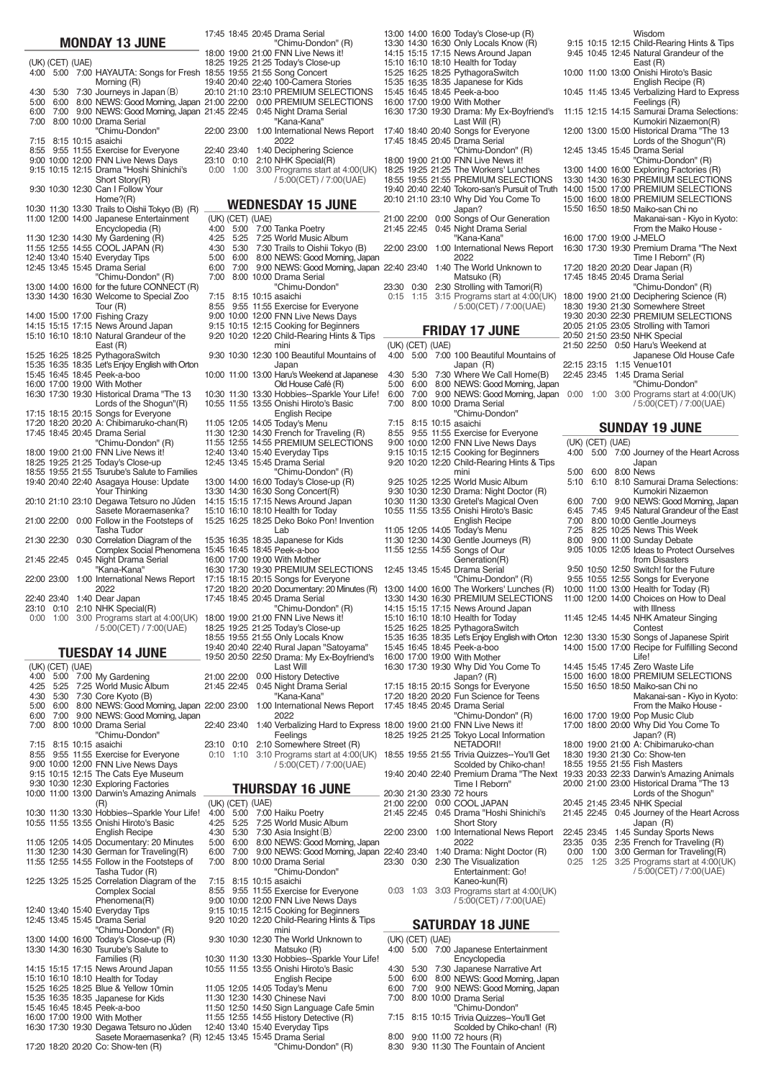### **MONDAY 13 JUNE**

(UK) (CET) (UAE) 4:00 5:00 7:00 HAYAUTA: Songs for Fresh 4:30 5:30 5:00 6:00 7:00 7:15 8:15 10:15 asaichi 8:55 9:55 11:55 Exercise for Everyone 9:00 9:15 10:00 10:15 12:00 12:15 FNN Live News Days Drama "Hoshi Shinichi's 9:30 10:30 12:30 Can I Follow Your Home?(R)<br>10:30 11:30 13:30 Trails to Oishii Tokyo (B) (R) 11:00 12:00 14:00 Japanese Entertainment 11:30 11:55 12:30 12:55 14:30 14:55 12:40 13:40 15:40 Everyday Tips 12:45 13:45 15:45 Drama Serial "Chimu-Dondon" (R) 13:00 14:00 16:00 for the future CONNECT (R) 13:30 14:30 16:30 Welcome to Special Zoo 14:00 15:00 17:00 Fishing Crazy 14:15 15:10 15:15 16:10 17:15 18:10 News Around Japan Natural Grandeur of the 15:25 16:25 18:25 PythagoraSwitch 15:35 15:45 16:35 16:45 18:35 18:45 Let's Enjoy English with Orton Peek-a-boo 16:00 17:00 19:00 With Mother 16:30 17:30 19:30 Historical Drama "The 13 17:15 18:15 20:15 Songs for Everyone 17:20 17:45 18:20 18:45 20:20 20:45 A: Chibimaruko-chan(R) Drama Serial 18:00 19:00 21:00 FNN Live News it! 18:25 18:55 19:25 19:55 21:25 21:55 Today's Close-up Tsurube's Salute to Families 19:40 20:40 22:40 Asagaya House: Update Your Thinking<br>20:10 21:10 23:10 Degawa Tetsuro no Jûden<br>Sasete Moraemasenka? 21:00 22:00 0:00 Follow in the Footsteps of 21:30 22:30 0:30 Correlation Diagram of the 21:45 22:45 0:45 Night Drama Serial 22:00 23:00 1:00 International News Report 22:40 23:40 1:40 Dear Japan 23:10 0:10 2:10 NHK Special(R) 0:00 1:00 3:00 Programs start at 4:00(UK) 6:00 7:00 9:00 NEWS: Good Morning, Japan 21:45 22:45 0:45 Night Drama Serial 8:00 10:00 Drama Serial Morning (R) "Chimu-Dondon" Short Story(R) Encyclopedia (R) My Gardening (R) COOL JAPAN (R) Tour (R) East (R) Lords of the Shogun"(R) "Chimu-Dondon" (R) Tasha Tudor Complex Social Phenomena 15:45 16:45 18:45 Peek-a-boo "Kana-Kana" 2022 / 5:00(CET) / 7:00(UAE)

### **TUESDAY 14 JUNE**

|      | (UK) (CET) (UAE) |                                               |       |
|------|------------------|-----------------------------------------------|-------|
| 4:00 |                  | 5:00 7:00 My Gardening                        | 21:00 |
| 4:25 |                  | 5:25 7:25 World Music Album                   | 21:45 |
| 4:30 |                  | 5:30 7:30 Core Kyoto (B)                      |       |
| 5:00 |                  | 6:00 8:00 NEWS: Good Morning, Japan 22:00     |       |
| 6:00 | 7:00             | 9:00 NEWS: Good Morning, Japan                |       |
| 7:00 |                  | 8:00 10:00 Drama Serial                       | 22:40 |
|      |                  | "Chimu-Dondon"                                |       |
|      |                  | 7:15 8:15 10:15 asaichi                       | 23:10 |
|      |                  | 8:55 9:55 11:55 Exercise for Everyone         | 0:10  |
|      |                  | 9:00 10:00 12:00 FNN Live News Days           |       |
|      |                  | 9:15 10:15 12:15 The Cats Eye Museum          |       |
|      |                  | 9:30 10:30 12:30 Exploring Factories          |       |
|      |                  | 10:00 11:00 13:00 Darwin's Amazing Animals    |       |
|      |                  | (R)                                           | (UK)  |
|      |                  | 10:30 11:30 13:30 Hobbies--Sparkle Your Life! | 4:00  |
|      |                  | 10:55 11:55 13:55 Onishi Hiroto's Basic       | 4:25  |
|      |                  | <b>English Recipe</b>                         | 4:30  |
|      |                  | 11:05 12:05 14:05 Documentary: 20 Minutes     | 5:00  |
|      |                  | 11:30 12:30 14:30 German for Traveling(R)     | 6:00  |
|      |                  | 11:55 12:55 14:55 Follow in the Footsteps of  | 7:00  |
|      |                  | Tasha Tudor (R)                               |       |
|      |                  | 12:25 13:25 15:25 Correlation Diagram of the  | 7:15  |
|      |                  | Complex Social                                | 8:55  |
|      |                  | Phenomena(R)                                  | 9:00  |
|      |                  | 12:40 13:40 15:40 Everyday Tips               | 9:15  |
|      |                  | 12:45 13:45 15:45 Drama Serial                | 9:20  |
|      |                  | "Chimu-Dondon" (R)                            |       |
|      |                  | 13:00 14:00 16:00 Today's Close-up (R)        | 9:30  |
|      |                  | 13:30 14:30 16:30 Tsurube's Salute to         |       |
|      |                  | Families (R)                                  | 10:30 |
|      |                  | 14:15 15:15 17:15 News Around Japan           | 10:55 |
|      |                  | 15:10 16:10 18:10 Health for Todav            |       |
|      |                  | 15:25 16:25 18:25 Blue & Yellow 10min         | 11:05 |
|      |                  | 15:35 16:35 18:35 Japanese for Kids           | 11:30 |
|      |                  | 15:45 16:45 18:45 Peek-a-boo                  | 11:50 |
|      |                  | 16:00 17:00 19:00 With Mother                 | 11:55 |
|      |                  | 16:30 17:30 19:30 Degawa Tetsuro no Jûden     | 12:40 |
|      |                  | Sasete Moraemasenka? (R)                      | 12:45 |
|      |                  | 17:20 18:20 20:20 Co: Show-ten (R)            |       |

7:30 Journeys in Japan (B) 20:10 21:10 23:10 PREMIUM SELECTIONS<br>8:00 NEWS: Good Morning, Japan 21:00 22:00 0:00 PREMIUM SELECTIONS 17:45 18:45 20:45 Drama Serial 18:00 19:00 21:00 FNN Live News it! 18:25 18:55 19:40 22:00 23:00 1:00 International News Report 22:40 23:40 23:10 0:00 0:10 1:00 2:10 3:00 NHK Special(R) Programs start at 4:00(UK) (UK) (CET) (UAE)  $4.00$ 4:25  $4:30$ 5:00 6:00 6:00 7:00 7:15 8:55 9:00 10:00 12:00 FNN Live News Days 9:15 9:20 10:15 10:20 12:15 12:20 Cooking for Beginners Child-Rearing Hints & Tips 9:30 10:30 12:30 100 Beautiful Mountains of 10:00 11:00 13:00 Haru's Weekend at Japanese 10:30 10:55 11:30 11:55 13:30 13:55 Hobbies--Sparkle Your Life! Onishi Hiroto's Basic 11:05 11:30 11:55 12:40 13:40 15:40 Everyday Tips 12:45 13:45 15:45 Drama Serial "Chimu-Dondon" (R) 13:00 14:00 16:00 Today's Close-up (R) 13:30 14:15 14:30 15:15 16:30 17:15 Song Concert(R) News Around Japan 15:10 16:10 18:10 Health for Today 15:25 16:25 18:25 Deko Boko Pon! Invention 15:35 16:35 18:35 Japanese for Kids 16:00 17:00 19:00 With Mother 16:30 17:30 19:30 PREMIUM SELECTIONS 17:15 18:15 20:15 Songs for Everyone 17:20 18:20 20:20 Documentary: 20 Minutes (R) 17:45 18:45 20:45 Drama Serial 18:00 19:00 21:00 FNN Live News it! 18:25 18:55 19:25 19:55 21:25 21:55 Today's Close-up Only Locals Know 19:40 20:40 22:40 Rural Japan "Satoyama" 19:50 20:50 22:50 Drama: My Ex-Boyfriend's 19:25 19:55 20:40  $5.00$  $5:25$  $5:30$ 7:00 9:00 NEWS: Good Morning, Japan 8:00 10:00 Drama Serial 8:15 10:15 asaichi 9:55 11:55 Exercise for Everyone 12:05 12:30 12:55 22:00 22:45 0:45 Night Drama Serial 23:00 23:40 0:10 2:10 Somewhere Street (R) 1:10 3:10 Programs start at 4:00(UK) (CET) (UAE)  $5:00$ 5:25 5:30  $6:00$ 7:00 8:00 10:00 Drama Serial 8:15 10:15 asaichi 9:55 11:55 Exercise for Everyone 10:00 12:00 FNN Live News Days 10:15 12:15 Cooking for Beginners 10:20 12:20 Child-Rearing Hints & Tips 10:30 12:30 The World Unknown to 11:30 11:55 13:30 13:55 Hobbies--Sparkle Your Life! Onishi Hiroto's Basic 12:05 14:05 Today's Menu 12:30 14:30 Chinese Navi 12:50 14:50 Sign Language Cafe 5min 21:25 21:55 22:40 1:40 Deciphering Science 7:00 Tanka Poetry 7:25 World Music Album 7:30 Trails to Oishii Tokyo (B) 8:00 NEWS: Good Morning, Japan 14:05 14:30 14:55 0:00 History Detective 1:00 International News Report 1:40 Verbalizing Hard to Express 7:00 Haiku Poetry 7:25 World Music Album 7:30 Asia Insight(B) 8:00 NEWS: Good Morning, Japan 9:00 NEWS: Good Morning, Japan "Chimu-Dondon" (R) Today's Close-up Song Concert 100-Camera Stories "Kana-Kana" 2022 / 5:00(CET) / 7:00(UAE) "Chimu-Dondon" mini Japan Old House Café (R) English Recipe Today's Menu French for Traveling (R) PREMIUM SELECTIONS Lab "Chimu-Dondon" (R) Last Will "Kana-Kana" 2022 **Feelings** / 5:00(CET) / 7:00(UAE) "Chimu-Dondon" mini Matsuko (R) English Recipe **THURSDAY 16 JUNE WEDNESDAY 15 JUNE**

> 12:55 14:55 History Detective (R) 13:40 15:40 Everyday Tips 13:45 15:45 Drama Serial

"Chimu-Dondon" (R)

|       |                  | 13:00 14:00 16:00 Today's Close-up (R)                                         |       |
|-------|------------------|--------------------------------------------------------------------------------|-------|
| 13:30 |                  | 14:30 16:30 Only Locals Know (R)                                               | 9:15  |
|       |                  | 14:15 15:15 17:15 News Around Japan                                            | 9:45  |
|       |                  | 15:10 16:10 18:10 Health for Today<br>15:25 16:25 18:25 PythagoraSwitch        |       |
|       |                  |                                                                                | 10:00 |
|       |                  |                                                                                |       |
|       |                  | 15:35 16:35 18:35 Japanese for Kids<br>15:35 16:35 18:35 Japanese for Kids     | 10:45 |
|       |                  | 16:00 17:00 19:00 With Mother                                                  |       |
|       |                  | 16:30 17:30 19:30 Drama: My Ex-Boyfriend's                                     | 11:15 |
|       |                  | Last Will (R)                                                                  |       |
|       |                  | 17:40 18:40 20:40 Songs for Everyone                                           | 12:00 |
|       |                  | 17:45 18:45 20:45 Drama Serial                                                 |       |
|       |                  | "Chimu-Dondon" (R)                                                             | 12:45 |
|       |                  | 18:00 19:00 21:00 FNN Live News it!                                            |       |
|       |                  | 18:25 19:25 21:25 The Workers' Lunches<br>18:55 19:55 21:55 PREMIUM SELECTIONS | 13:00 |
|       |                  |                                                                                | 13:30 |
|       |                  | 19:40 20:40 22:40 Tokoro-san's Pursuit of Truth                                | 14:00 |
|       |                  | 20:10 21:10 23:10 Why Did You Come To                                          | 15:00 |
|       |                  | Japan?                                                                         | 15:50 |
|       | 21:00 22:00      | 0:00 Songs of Our Generation                                                   |       |
|       | 21:45 22:45      | 0:45 Night Drama Serial                                                        |       |
|       |                  |                                                                                |       |
|       |                  | "Kana-Kana"                                                                    | 16:00 |
|       | 22:00 23:00      | 1:00 International News Report                                                 | 16:30 |
|       |                  | 2022                                                                           |       |
|       | 22:40 23:40      | 1:40 The World Unknown to                                                      | 17:20 |
|       |                  | Matsuko (R)                                                                    | 17:45 |
|       | 23:30 0:30       | 2:30 Strolling with Tamori(R)                                                  |       |
| 0:15  | 1:15             | 3:15 Programs start at 4:00(UK)                                                | 18:00 |
|       |                  | / 5:00(CET) / 7:00(UAE)                                                        | 18:30 |
|       |                  |                                                                                |       |
|       |                  |                                                                                | 19:30 |
|       |                  | <b>FRIDAY 17 JUNE</b>                                                          | 20:05 |
|       |                  |                                                                                | 20:50 |
|       | (UK) (CET) (UAE) |                                                                                | 21:50 |
| 4:00  | 5:00             | 7:00 100 Beautiful Mountains of                                                |       |
|       |                  | Japan (R)                                                                      | 22:15 |
| 4:30  | 5:30             | 7:30 Where We Call Home(B)                                                     | 22:45 |
| 5:00  |                  | 6:00 8:00 NEWS: Good Morning, Japan                                            |       |
|       |                  |                                                                                |       |
| 6:00  | 7:00             | 9:00 NEWS: Good Morning, Japan                                                 | 0:00  |
| 7:00  |                  | 8:00 10:00 Drama Serial                                                        |       |
|       |                  | "Chimu-Dondon"                                                                 |       |
| 7:15  |                  | 8:15 10:15 asaichi                                                             |       |
| 8:55  |                  | 9:55 11:55 Exercise for Everyone                                               |       |
|       |                  | 9:00 10:00 12:00 FNN Live News Days                                            | (UK)  |
|       |                  | 9:15 10:15 12:15 Cooking for Beginners                                         | 4:00  |
|       |                  | 9:20 10:20 12:20 Child-Rearing Hints & Tips                                    |       |
|       |                  | mini                                                                           | 5:00  |
|       |                  |                                                                                |       |
|       |                  |                                                                                |       |
|       |                  | 9:25 10:25 12:25 World Music Album                                             | 5:10  |
|       |                  | 9:30 10:30 12:30 Drama: Night Doctor (R)                                       |       |
|       |                  | 10:30 11:30 13:30 Gretel's Magical Oven                                        | 6:00  |
|       |                  | 10:55 11:55 13:55 Onishi Hiroto's Basic                                        | 6:45  |
|       |                  | <b>English Recipe</b>                                                          | 7:00  |
|       |                  | 11:05 12:05 14:05 Today's Menu                                                 | 7:25  |
|       |                  | 11:30 12:30 14:30 Gentle Journeys (R)                                          | 8:00  |
|       |                  |                                                                                |       |
|       |                  | 11:55 12:55 14:55 Songs of Our                                                 | 9:05  |
|       |                  | Generation(R)                                                                  |       |
|       |                  | 12:45 13:45 15:45 Drama Serial                                                 | 9:50  |
|       |                  | "Chimu-Dondon" (R)                                                             | 9:55  |
|       |                  | 13:00 14:00 16:00 The Workers' Lunches (R)                                     | 10:00 |
|       |                  | 13:30 14:30 16:30 PREMIUM SELECTIONS                                           | 11:00 |
| 14:15 |                  | 15:15 17:15 News Around Japan                                                  |       |
|       |                  | 15:10 16:10 18:10 Health for Today                                             | 11:45 |
| 15:25 |                  | 16:25 18:25 PythagoraSwitch                                                    |       |
| 15:35 |                  |                                                                                |       |
|       |                  | 16:35 18:35 Let's Enjoy English with Orton                                     | 12:30 |
|       |                  | 15:45 16:45 18:45 Peek-a-boo                                                   | 14:00 |
|       |                  | 16:00 17:00 19:00 With Mother                                                  |       |
|       |                  | 16:30 17:30 19:30 Why Did You Come To                                          | 14:45 |
|       |                  | Japan? (R)                                                                     | 15:00 |
|       |                  | 17:15 18:15 20:15 Songs for Everyone                                           | 15:50 |
|       |                  | 17:20 18:20 20:20 Fun Science for Teens                                        |       |
|       |                  | 17:45 18:45 20:45 Drama Serial                                                 |       |
|       |                  | "Chimu-Dondon" (R)                                                             | 16:00 |
|       |                  | 18:00 19:00 21:00 FNN Live News it!                                            | 17:00 |
|       |                  |                                                                                |       |
|       |                  | 18:25 19:25 21:25 Tokyo Local Information                                      |       |
|       |                  | <b>NETADORI!</b>                                                               | 18:00 |
|       |                  | 18:55 19:55 21:55 Trivia Quizzes--You'll Get                                   | 18:30 |
|       |                  | Scolded by Chiko-chan!                                                         | 18:55 |
|       |                  | 19:40 20:40 22:40 Premium Drama "The Next                                      | 19:33 |
|       |                  | Time I Reborn"                                                                 | 20:00 |
|       |                  | 20:30 21:30 23:30 72 hours                                                     |       |
|       | 21:00 22:00      |                                                                                | 20:45 |
|       | 21:45 22:45      | 0:00 COOL JAPAN                                                                | 21:45 |
|       |                  | 0:45 Drama "Hoshi Shinichi's                                                   |       |
|       |                  | Short Story                                                                    |       |
|       | 22:00 23:00      | 1:00 International News Report                                                 | 22:45 |
|       |                  | 2022                                                                           | 23:35 |
|       | 22:40 23:40      | 1:40 Drama: Night Doctor (R)                                                   | 0:00  |
| 23:30 | 0:30             | 2:30 The Visualization                                                         | 0:25  |
|       |                  | Entertainment: Go!                                                             |       |
|       |                  | Kaneo-kun(R)                                                                   |       |
| 0:03  | 1:03             | 3:03 Programs start at 4:00(UK)                                                |       |
|       |                  | / 5:00(CET) / 7:00(UAE)                                                        |       |

### **SATURDAY 18 JUNE**

|      | (UK) (CET) (UAE) |                                            |
|------|------------------|--------------------------------------------|
|      |                  | 4:00 5:00 7:00 Japanese Entertainment      |
|      |                  | Encyclopedia                               |
| 4:30 |                  | 5:30 7:30 Japanese Narrative Art           |
| 5:00 |                  | 6:00 8:00 NEWS: Good Morning, Japan        |
| 6:00 |                  | 7:00 9:00 NEWS: Good Morning, Japan        |
| 7.00 |                  | 8:00 10:00 Drama Serial                    |
|      |                  | "Chimu-Dondon"                             |
|      |                  | 7:15 8:15 10:15 Trivia Quizzes--You'll Get |
|      |                  | Scolded by Chiko-chan! (R)                 |
| 8:00 |                  | 9:00 11:00 72 hours (R)                    |
| 8:30 |                  | 9:30 11:30 The Fountain of Ancient         |
|      |                  |                                            |

|      |             | Wisdom                                                                                  |
|------|-------------|-----------------------------------------------------------------------------------------|
|      |             | 9:15 10:15 12:15 Child-Rearing Hints & Tips<br>9:45 10:45 12:45 Natural Grandeur of the |
|      |             | East (R)                                                                                |
|      |             | 10:00 11:00 13:00 Onishi Hiroto's Basic                                                 |
|      |             | English Recipe (R)                                                                      |
|      |             | 10:45 11:45 13:45 Verbalizing Hard to Express                                           |
|      |             | Feelings (R)                                                                            |
|      |             | 11:15 12:15 14:15 Samurai Drama Selections:                                             |
|      |             | Kumokiri Nizaemon(R)                                                                    |
|      |             | 12:00 13:00 15:00 Historical Drama "The 13                                              |
|      |             | Lords of the Shogun"(R)                                                                 |
|      |             | 12:45 13:45 15:45 Drama Serial                                                          |
|      |             | "Chimu-Dondon" (R)                                                                      |
|      |             | 13:00 14:00 16:00 Exploring Factories (R)                                               |
|      |             | 13:30 14:30 16:30 PREMIUM SELECTIONS                                                    |
|      |             | 14:00 15:00 17:00 PREMIUM SELECTIONS                                                    |
|      |             | 15:00 16:00 18:00 PREMIUM SELECTIONS                                                    |
|      |             | 15:50 16:50 18:50 Maiko-san Chi no                                                      |
|      |             | Makanai-san - Kiyo in Kyoto:                                                            |
|      |             | From the Maiko House -                                                                  |
|      |             | 16:00 17:00 19:00 J-MELO                                                                |
|      |             | 16:30 17:30 19:30 Premium Drama "The Next                                               |
|      |             | Time I Reborn" (R)                                                                      |
|      |             | 17:20 18:20 20:20 Dear Japan (R)                                                        |
|      |             | 17:45 18:45 20:45 Drama Serial                                                          |
|      |             | "Chimu-Dondon" (R)                                                                      |
|      |             | 18:00 19:00 21:00 Deciphering Science (R)                                               |
|      |             | 18:30 19:30 21:30 Somewhere Street                                                      |
|      |             | 19:30 20:30 22:30 PREMIUM SELECTIONS                                                    |
|      |             | 20:05 21:05 23:05 Strolling with Tamori                                                 |
|      |             | 20:50 21:50 23:50 NHK Special                                                           |
|      |             | 21:50 22:50 0:50 Haru's Weekend at                                                      |
|      |             | Japanese Old House Cafe                                                                 |
|      |             | 22:15 23:15 1:15 Venue101                                                               |
|      | 22:45 23:45 | 1:45 Drama Serial                                                                       |
|      |             | "Chimu-Dondon"                                                                          |
| 0:00 | 1:00        | 3:00 Programs start at 4:00(UK)                                                         |
|      |             | / 5:00(CET) / 7:00(UAE)                                                                 |

## **SUNDAY 19 JUNE**

|      | (UK) (CET) (UAE) |                                                                                          |
|------|------------------|------------------------------------------------------------------------------------------|
| 4:00 |                  | 5:00 7:00 Journey of the Heart Across                                                    |
|      |                  | Japan                                                                                    |
| 5:00 |                  | 6:00 8:00 News                                                                           |
| 5:10 |                  | 6:10 8:10 Samurai Drama Selections:                                                      |
|      |                  | Kumokiri Nizaemon                                                                        |
|      |                  | 6:00 7:00 9:00 NEWS: Good Morning, Japan                                                 |
|      | 6:45 7:45        | 9:45 Natural Grandeur of the East                                                        |
|      |                  | 7:00 8:00 10:00 Gentle Journeys                                                          |
|      |                  | 7:25 8:25 10:25 News This Week                                                           |
| 8:00 |                  | 9:00 11:00 Sunday Debate<br>9:05 10:05 12:05 Ideas to Protect Ourselves                  |
|      |                  | from Disasters                                                                           |
|      |                  | 9:50 10:50 12:50 Switch! for the Future                                                  |
|      |                  | 9:55 10:55 12:55 Songs for Everyone                                                      |
|      |                  |                                                                                          |
|      |                  | 10:00 11:00 13:00 Health for Today (R)<br>11:00 12:00 14:00 Choices on How to Deal       |
|      |                  | with Illness                                                                             |
|      |                  | 11:45 12:45 14:45 NHK Amateur Singing                                                    |
|      |                  | Contest                                                                                  |
|      |                  | 12:30 13:30 15:30 Songs of Japanese Spirit                                               |
|      |                  | 14:00 15:00 17:00 Recipe for Fulfilling Second                                           |
|      |                  | Life!                                                                                    |
|      |                  | 14:45 15:45 17:45 Zero Waste Life                                                        |
|      |                  | 15:00 16:00 18:00 PREMIUM SELECTIONS                                                     |
|      |                  | 15:50 16:50 18:50 Maiko-san Chi no                                                       |
|      |                  | Makanai-san - Kiyo in Kyoto:                                                             |
|      |                  | From the Maiko House -                                                                   |
|      |                  | 16:00 17:00 19:00 Pop Music Club                                                         |
|      |                  | 17:00 18:00 20:00 Why Did You Come To                                                    |
|      |                  | Japan? (R)                                                                               |
|      |                  | 18:00 19:00 21:00 A: Chibimaruko-chan                                                    |
|      |                  | 18:30 19:30 21:30 Co: Show-ten<br>18:55 19:55 21:55 Fish Masters                         |
|      |                  |                                                                                          |
|      |                  | 19:33 20:33 22:33 Darwin's Amazing Animals<br>20:00 21:00 23:00 Historical Drama "The 13 |
|      |                  | Lords of the Shogun"                                                                     |
|      |                  | 20:45 21:45 23:45 NHK Special                                                            |
|      | 21:45 22:45      | 0:45 Journey of the Heart Across                                                         |
|      |                  | Japan (R)                                                                                |
|      | 22:45 23:45      | 1:45 Sunday Sports News                                                                  |
|      | 23:35 0:35       | 2:35 French for Traveling (R)                                                            |
|      | $0:00$ 1:00      | 3:00 German for Traveling(R)                                                             |
|      | $0:25$ 1:25      | 3:25 Programs start at 4:00(UK)                                                          |
|      |                  | / 5:00(CET) / 7:00(UAE)                                                                  |
|      |                  |                                                                                          |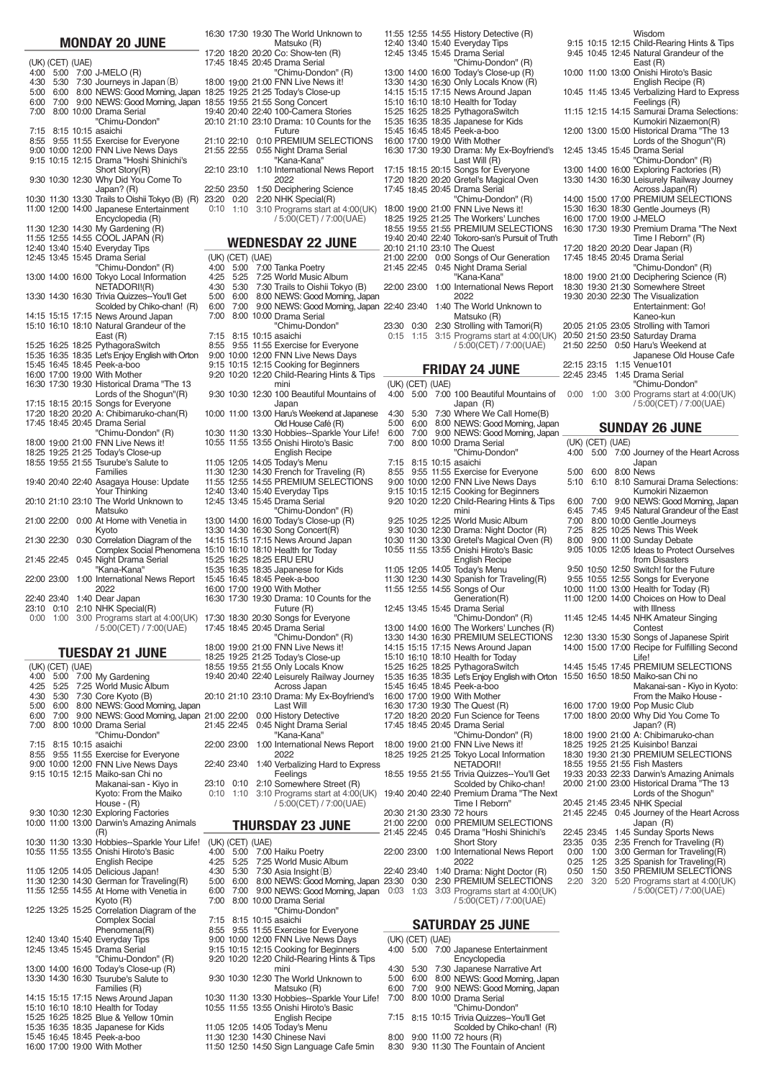|       |                   | <b>IVIUNDAY</b>   | ZU JUNE                                          |  |
|-------|-------------------|-------------------|--------------------------------------------------|--|
|       | (UK) (CET) (UAE)  |                   |                                                  |  |
| 4:00  | 5:00              |                   | 7:00 J-MELO (R)                                  |  |
|       |                   |                   |                                                  |  |
| 4:30  | 5:30              |                   | 7:30 Journeys in Japan (B)                       |  |
| 5:00  | 6:00              |                   | 8:00 NEWS: Good Morning, Japan                   |  |
| 6:00  | 7:00              |                   | 9:00 NEWS: Good Morning, Japan                   |  |
| 7:00  |                   |                   | 8:00 10:00 Drama Serial                          |  |
|       |                   |                   | "Chimu-Dondon"                                   |  |
| 7:15  | 8:15              |                   | 10:15 asaichi                                    |  |
| 8:55  | 9:55              |                   | 11:55 Exercise for Everyone                      |  |
| 9:00  |                   |                   | 10:00 12:00 FNN Live News Days                   |  |
| 9:15  |                   |                   | 10:15 12:15 Drama "Hoshi Shinichi's              |  |
|       |                   |                   |                                                  |  |
|       |                   |                   | Short Story(R)                                   |  |
|       |                   | 9:30 10:30 12:30  | Why Did You Come To                              |  |
|       |                   |                   | Japan? (R)                                       |  |
|       | 10:30 11:30 13:30 |                   | Trails to Oishii Tokyo (B) (R)                   |  |
|       |                   |                   | 11:00 12:00 14:00 Japanese Entertainment         |  |
|       |                   |                   | Encyclopedia (R)                                 |  |
|       | 11:30 12:30       |                   | 14:30 My Gardening (R)                           |  |
|       |                   |                   | 11:55 12:55 14:55 COOL JAPAN (R)                 |  |
|       |                   |                   | 12:40 13:40 15:40 Everyday Tips                  |  |
|       |                   | 12:45 13:45 15:45 | Drama Serial                                     |  |
|       |                   |                   |                                                  |  |
|       |                   |                   | "Chimu-Dondon" (R)                               |  |
|       | 13:00 14:00 16:00 |                   | Tokyo Local Information                          |  |
|       |                   |                   | NETADORI!(R)                                     |  |
|       | 13:30 14:30 16:30 |                   | Trivia Quizzes--You'll Get                       |  |
|       |                   |                   | Scolded by Chiko-chan! (R)                       |  |
|       | 14:15 15:15 17:15 |                   | News Around Japan                                |  |
|       |                   |                   | 15:10 16:10 18:10 Natural Grandeur of the        |  |
|       |                   |                   | East (R)                                         |  |
|       |                   | 15:25 16:25 18:25 | PythagoraSwitch                                  |  |
|       |                   |                   | 15:35 16:35 18:35 Let's Enjoy English with Orton |  |
|       |                   |                   | 15:45 16:45 18:45 Peek-a-boo                     |  |
|       |                   |                   | 16:00 17:00 19:00 With Mother                    |  |
|       |                   |                   |                                                  |  |
|       |                   |                   | 16:30 17:30 19:30 Historical Drama "The 13       |  |
|       |                   |                   | Lords of the Shogun"(R)                          |  |
|       | 17:15 18:15 20:15 |                   | Songs for Everyone                               |  |
|       |                   | 17:20 18:20 20:20 | A: Chibimaruko-chan(R)                           |  |
| 17:45 | 18:45 20:45       |                   | Drama Serial                                     |  |
|       |                   |                   | "Chimu-Dondon" (R)                               |  |
|       | 18:00 19:00 21:00 |                   | FNN Live News it!                                |  |
|       | 18:25 19:25 21:25 |                   | Today's Close-up                                 |  |
|       | 18:55 19:55 21:55 |                   | Tsurube's Salute to                              |  |
|       |                   |                   | Families                                         |  |
|       |                   |                   |                                                  |  |
|       | 19:40 20:40 22:40 |                   | Asagaya House: Update                            |  |
|       |                   |                   | Your Thinking                                    |  |
|       | 20:10 21:10 23:10 |                   | The World Unknown to                             |  |
|       |                   |                   | Matsuko                                          |  |
|       | 21:00 22:00       |                   | 0:00 At Home with Venetia in                     |  |
|       |                   |                   | Kyoto                                            |  |
|       | 21:30 22:30       |                   | 0:30 Correlation Diagram of the                  |  |
|       |                   |                   | Complex Social Phenomena                         |  |
|       | 21:45 22:45       | 0:45              |                                                  |  |
|       |                   |                   | Night Drama Serial                               |  |
|       |                   |                   | "Kana-Kana"                                      |  |
|       | 22:00 23:00       |                   | 1:00 International News Report                   |  |
|       |                   |                   | 2022                                             |  |
|       | 22:40 23:40       |                   | 1:40 Dear Japan                                  |  |
| 23:10 | 0:10              |                   | 2:10 NHK Special(R)                              |  |
| 0:00  | 1:00              |                   | 3:00 Programs start at 4:00(UK)                  |  |
|       |                   |                   | / 5:00(CET) / 7:00(UAE)                          |  |

**MONDAY 20 JUNE**

|--|

| (UK) (CET) (UAE) |                                                                                          |      |                  | 18:55 19:55 21:55 Only Locals Know                    |
|------------------|------------------------------------------------------------------------------------------|------|------------------|-------------------------------------------------------|
|                  | 4:00 5:00 7:00 My Gardening                                                              |      |                  | 19:40 20:40 22:40 Leisurely Railway Journey           |
|                  | 4:25 5:25 7:25 World Music Album                                                         |      |                  | Across Japan                                          |
|                  | 4:30 5:30 7:30 Core Kyoto (B)                                                            |      |                  | 20:10 21:10 23:10 Drama: My Ex-Boyfriend's            |
|                  | 5:00 6:00 8:00 NEWS: Good Morning, Japan                                                 |      |                  | Last Will                                             |
|                  | 6:00 7:00 9:00 NEWS: Good Morning, Japan 21:00 22:00                                     |      |                  | 0:00 History Detective                                |
|                  | 7:00 8:00 10:00 Drama Serial                                                             |      | 21:45 22:45      | 0:45 Night Drama Serial                               |
|                  | "Chimu-Dondon"                                                                           |      |                  | "Kana-Kana"                                           |
|                  | 7:15 8:15 10:15 asaichi                                                                  |      | 22:00 23:00      | 1:00 International News Report                        |
|                  | 8:55 9:55 11:55 Exercise for Everyone                                                    |      |                  | 2022                                                  |
|                  | 9:00 10:00 12:00 FNN Live News Days                                                      |      | 22:40 23:40      | 1:40 Verbalizing Hard to Expres                       |
|                  | 9:15 10:15 12:15 Maiko-san Chi no                                                        |      |                  | Feelings                                              |
|                  | Makanai-san - Kiyo in                                                                    |      | 23:10 0:10       | 2:10 Somewhere Street (R)                             |
|                  | Kyoto: From the Maiko                                                                    | 0:10 | 1:10             | 3:10 Programs start at 4:00(UK                        |
|                  | House $ (R)$                                                                             |      |                  | / 5:00(CET) / 7:00(UAE)                               |
|                  | 9:30 10:30 12:30 Exploring Factories                                                     |      |                  |                                                       |
|                  | 10:00 11:00 13:00 Darwin's Amazing Animals                                               |      |                  | <b>THURSDAY 23 JUNE</b>                               |
|                  | (R)                                                                                      |      |                  |                                                       |
|                  | 10:30 11:30 13:30 Hobbies--Sparkle Your Life!<br>10:55 11:55 13:55 Onishi Hiroto's Basic | 4:00 | (UK) (CET) (UAE) |                                                       |
|                  |                                                                                          | 4:25 |                  | 5:00 7:00 Haiku Poetry<br>5:25 7:25 World Music Album |
|                  | <b>English Recipe</b><br>11:05 12:05 14:05 Delicious Japan!                              | 4:30 |                  | 5:30 7:30 Asia Insight (B)                            |
|                  | 11:30 12:30 14:30 German for Traveling(R)                                                |      |                  | 5:00 6:00 8:00 NEWS: Good Morning, Japa               |
|                  | 11:55 12:55 14:55 At Home with Venetia in                                                |      | 6:00 7:00        | 9:00 NEWS: Good Morning, Japa                         |
|                  | Kyoto (R)                                                                                | 7:00 |                  | 8:00 10:00 Drama Serial                               |
|                  | 12:25 13:25 15:25 Correlation Diagram of the                                             |      |                  | "Chimu-Dondon"                                        |
|                  | <b>Complex Social</b>                                                                    | 7:15 |                  | 8:15 10:15 asaichi                                    |
|                  | Phenomena(R)                                                                             | 8:55 |                  | 9:55 11:55 Exercise for Everyone                      |
|                  | 12:40 13:40 15:40 Everyday Tips                                                          |      |                  | 9:00 10:00 12:00 FNN Live News Days                   |
|                  | 12:45 13:45 15:45 Drama Serial                                                           |      |                  | 9:15 10:15 12:15 Cooking for Beginners                |
|                  | "Chimu-Dondon" (R)                                                                       |      |                  | 9:20 10:20 12:20 Child-Rearing Hints & Tips           |
|                  | 13:00 14:00 16:00 Today's Close-up (R)                                                   |      |                  | mini                                                  |
|                  | 13:30 14:30 16:30 Tsurube's Salute to                                                    |      |                  | 9:30 10:30 12:30 The World Unknown to                 |
|                  | Families (R)                                                                             |      |                  | Matsuko (R)                                           |
|                  | 14:15 15:15 17:15 News Around Japan                                                      |      |                  | 10:30 11:30 13:30 Hobbies--Sparkle Your Life          |
|                  | 15:10 16:10 18:10 Health for Today                                                       |      |                  | 10:55 11:55 13:55 Onishi Hiroto's Basic               |
|                  | 15:25 16:25 18:25 Blue & Yellow 10min                                                    |      |                  | <b>English Recipe</b>                                 |
|                  | 15:35 16:35 18:35 Japanese for Kids                                                      |      |                  | 11:05 12:05 14:05 Today's Menu                        |
|                  | 15:45 16:45 18:45 Peek-a-boo                                                             |      |                  | 11:30 12:30 14:30 Chinese Navi                        |
|                  | 16:00 17:00 19:00 With Mother                                                            |      |                  | 11:50 12:50 14:50 Sign Language Cafe 5min             |
|                  |                                                                                          |      |                  |                                                       |

#### 16:30 17:30 19:30 The World Unknown to 17:20 18:20 20:20 Co: Show-ten (R) 17:45 18:45 20:45 Drama Serial "Chimu-Dondon" (R) 18:00 19:00 21:00 FNN Live News it! 18:25 18:55 19:40 20:10 21:10 23:10 Drama: 10 Counts for the 21:10 21:55 22:10 22:55 0:10 0:55 PREMIUM SELECTIONS Night Drama Serial Kana-Kana"<br>22:10 23:10 1:10 International News Report 22:50 23:50 1:50 Deciphering Science 23:20 0:10 0:20 1:10 2:20 3:10 NHK Special(R) Programs start at 4:00(UK) (UK) (CET) (UAE) 4:00 4:25 4:30 5:00 6:00 6:00 7:00 7:15 8:15 10:15 asaichi 8:55 9:00 10:00 12:00 FNN Live News Days 9:15 9:20 10:15 10:20 12:15 12:20 Cooking for Beginners Child-Rearing Hints & Tips 9:30 10:30 12:30 100 Beautiful Mountains of 10:00 11:00 13:00 Haru's Weekend at Japanese 10:30 11:30 13:30 Hobbies--Sparkle Your Life! 10:55 11:55 13:55 Onishi Hiroto's Basic 11:05 11:30 11:55 12:40 12:45 13:40 13:45 15:40 15:45 Everyday Tips Drama Serial 13:00 13:30 14:15 15:10 16:10 18:10 Health for Today 15:25 15:35 16:25 16:35 18:25 18:35 ERU ERU Japanese for Kids 15:45 16:45 18:45 Peek-a-boo 16:00 16:30 17:00 17:30 19:00 19:30 With Mother Drama: 10 Counts for the 17:30 18:30 20:30 Songs for Everyone 17:45 18:45 20:45 Drama Serial "Chimu-Dondon" (R) 18:00 19:00 21:00 FNN Live News it! 18:25 18:55 19:25 19:55 21:25 21:55 Today's Close-up Only Locals Know 19:40 20:40 22:40 Leisurely Railway Journey 20:10 21:10 23:10 Drama: My Ex-Boyfriend's Last Will 21:00 21:45 22:00 22:45 0:00 0:45 History Detective Night Drama Serial "Kana-Kana" 22:00 23:00 1:00 International News Report 22:40 23:40 1:40 Verbalizing Hard to Express 23:10 0:10 2:10 Somewhere Street (R)  $10$ (UK) 4:00 (CET) 5:00 (UAE) 7:00 4:25 --<br>30 --<br>00 6:00 7:00 7:15 8:55 9:00 9:55 10:00 11:55 12:00 Exercise for Everyone FNN Live News Days 9:15 10:15 12:15 Cooking for Beginners 9:20 10:20 12:20 Child-Rearing Hints & Tips 19:25 19:55 20:40 5:00  $5:25$ 5:30 7:00 8:00 10:00 Drama Serial 9:55 11:55 Exercise for Everyone 12:05 12:30 12:55 14:00 14:30 15:15 1:10 3:10 Programs start at 4:00(UK) / 5:00(CET) / 7:00(UAE) 19:40 20:40 22:40 Premium Drama "The Next Time I Reborn" 5:25 5:30 6:00 7:00 8:00 10:00 Drama Serial 8:15 10:15 asaichi 21:25 21:55 22:40 7:00 Tanka Poetry 7:25 World Music Album 7:30 Trails to Oishii Tokyo (B) 8:00 NEWS: Good Morning, Japan 9:00 NEWS: Good Morning, Japan 14:05 14:30 14:55 16:00 16:30 17:15 7:25 World Music Album 7:30 Asia Insight(B) 8:00 NEWS: Good Morning, Japan 23:30 0:30 2:30 PREMIUM SELECTIONS 9:00 NEWS: Good Morning, Japan 0:03 1:03 3:03 Programs start at 4:00(UK) Matsuko (R) Today's Close-up Song Concert 100-Camera Stories Future 2022 / 5:00(CET) / 7:00(UAE) "Chimu-Dondon" mini Japan Old House Café (R) English Recipe Today's Menu French for Traveling (R) PREMIUM SELECTIONS "Chimu-Dondon" (R) Today's Close-up (R) Song Concert(R) News Around Japan Future (R) Across Japan 2022 Feelings 7:00 Haiku Poetry "Chimu-Dondon" mini 11:55 12:55 14:55 History Detective (R) 12:40 13:40 15:40 Everyday Tips 12:45 13:45 15:45 Drama Serial 13:00 14:00 16:00 Today's Close-up (R) 13:30 14:30 16:30 Only Locals Know (R) 15:10 15:25 15:35 15:45 16:00 16:30 17:15 17:20 17:45 18:00 18:25 18:55 19:40 20:10 21:00 21:45 22:00 22:40 23:30 0:15 (UK) 4:00 4:30 5:00 6:00 7:00 7:15 8:55 9:00 9:15 9:20 9:25 9:30 10:30 10:55 11:05 11:30 11:55 12:45 13:00 13:30 15:10 15:25 16:10 16:25 18:10 18:25 Health for Today PythagoraSwitch 15:35 16:35 18:35 Let's Enjoy English with Orton 15:45 16:45 18:45 Peek-a-boo 16:00 17:00 19:00 With Mother 16:30 17:30 19:30 The Quest (R) 17:20 18:20 20:20 Fun Science for Teens 17:45 18:45 20:45 Drama Serial "Chimu-Dondon" (R) 18:00 19:00 21:00 FNN Live News it! 18:25 19:25 21:25 Tokyo Local Information 18:55 19:55 21:55 Trivia Quizzes--You'll Get 20:30 21:30 23:30 72 hours 21:00 21:45 22:00 22:45 0:00 0:45 PREMIUM SELECTIONS Drama "Hoshi Shinichi's Short Story 22:00 23:00 1:00 International News Report 22:40 23:40 1:40 Drama: Night Doctor (R) (UK) 4:00 4:30 **THURSDAY 23 JUNE WEDNESDAY 22 JUNE**

| 14:15 |                  | 15:15 17:15 News Around Japan                                                  |
|-------|------------------|--------------------------------------------------------------------------------|
|       |                  | 15:10 16:10 18:10 Health for Today                                             |
|       |                  | 15:25 16:25 18:25 PythagoraSwitch                                              |
|       |                  | 15:35 16:35 18:35 Japanese for Kids                                            |
|       |                  | 15:45 16:45 18:45 Peek-a-boo                                                   |
|       |                  | 16:00 17:00 19:00 With Mother                                                  |
|       |                  | 16:30 17:30 19:30 Drama: My Ex-Boyfriend's                                     |
|       |                  | Last Will (R)                                                                  |
|       |                  | 17:15 18:15 20:15 Songs for Everyone                                           |
|       |                  | 17:20 18:20 20:20 Gretel's Magical Oven                                        |
|       |                  | 17:45 18:45 20:45 Drama Serial                                                 |
|       |                  | "Chimu-Dondon" (R)                                                             |
|       |                  | 18:00 19:00 21:00 FNN Live News it!                                            |
|       |                  | 18:25 19:25 21:25 The Workers' Lunches                                         |
|       |                  | 18:55 19:55 21:55 PREMIUM SELECTIONS                                           |
|       |                  |                                                                                |
|       |                  | 19:40 20:40 22:40 Tokoro-san's Pursuit of Truth<br>20:10 21:10 23:10 The Quest |
|       |                  | 21:00 22:00 0:00 Songs of Our Generation                                       |
|       | 21:45 22:45      | 0:45 Night Drama Serial                                                        |
|       |                  | "Kana-Kana"                                                                    |
|       |                  |                                                                                |
|       | 22:00 23:00      | 1:00 International News Report                                                 |
|       |                  | 2022                                                                           |
|       | 22:40 23:40      | 1:40 The World Unknown to                                                      |
|       |                  | Matsuko (R)                                                                    |
| 23:30 | 0:30             | 2:30 Strolling with Tamori(R)                                                  |
| 0:15  | 1:15             | 3:15 Programs start at 4:00(UK)                                                |
|       |                  | / 5:00(CET) / 7:00(UAE)                                                        |
|       |                  |                                                                                |
|       |                  |                                                                                |
|       |                  | <b>FRIDAY 24 JUNE</b>                                                          |
|       |                  |                                                                                |
|       | (UK) (CET) (UAE) |                                                                                |
| 4:00  | 5:00             | 7:00 100 Beautiful Mountains of                                                |
|       |                  | Japan (R)                                                                      |
| 4:30  | 5:30             | 7:30 Where We Call Home(B)                                                     |
| 5:00  | 6:00             | 8:00 NEWS: Good Morning, Japan                                                 |
| 6:00  | 7:00             | 9:00 NEWS: Good Morning, Japan                                                 |
| 7:00  |                  | 8:00 10:00 Drama Serial                                                        |
|       |                  | "Chimu-Dondon"                                                                 |
| 7:15  |                  | 8:15 10:15 asaichi                                                             |
| 8:55  |                  | 9:55 11:55 Exercise for Everyone                                               |
|       |                  | 9:00 10:00 12:00 FNN Live News Days                                            |
| 9:15  |                  | 10:15 12:15 Cooking for Beginners                                              |
|       |                  | 9:20 10:20 12:20 Child-Rearing Hints & Tips                                    |
|       |                  | mini                                                                           |
|       |                  | 9:25 10:25 12:25 World Music Album                                             |
|       |                  |                                                                                |
|       |                  | 9:30 10:30 12:30 Drama: Night Doctor (R)                                       |
|       |                  | 10:30 11:30 13:30 Gretel's Magical Oven (R)                                    |
|       | 10:55 11:55      | 13:55 Onishi Hiroto's Basic                                                    |
|       |                  | <b>English Recipe</b>                                                          |
|       | 11:05 12:05      | 14:05 Today's Menu                                                             |
|       | 11:30 12:30      | 14:30 Spanish for Traveling(R)                                                 |
| 11:55 | 12:55            | 14:55 Songs of Our                                                             |
|       |                  | Generation(R)                                                                  |
|       |                  | 12:45 13:45 15:45 Drama Serial                                                 |
|       |                  | "Chimu-Dondon" (R)                                                             |
|       |                  | 13:00 14:00 16:00 The Workers' Lunches (R)                                     |
| 14:15 | 15:15            | 13:30 14:30 16:30 PREMIUM SELECTIONS<br>17:15 News Around Japan                |

"Chimu-Dondon" (R)

|                   |      |                  | Wisdom<br>9:15 10:15 12:15 Child-Rearing Hints & Tips      |
|-------------------|------|------------------|------------------------------------------------------------|
|                   |      |                  | 9:45 10:45 12:45 Natural Grandeur of the                   |
|                   |      |                  | East (R)                                                   |
|                   |      |                  | 10:00 11:00 13:00 Onishi Hiroto's Basic                    |
|                   |      |                  | English Recipe (R)                                         |
|                   |      |                  | 10:45 11:45 13:45 Verbalizing Hard to Express              |
|                   |      |                  | Feelings (R)                                               |
|                   |      |                  | 11:15 12:15 14:15 Samurai Drama Selections:                |
|                   |      |                  | Kumokiri Nizaemon(R)                                       |
|                   |      |                  | 12:00 13:00 15:00 Historical Drama "The 13                 |
|                   |      |                  | Lords of the Shogun"(R)                                    |
| Ś                 |      |                  | 12:45 13:45 15:45 Drama Serial                             |
|                   |      |                  | "Chimu-Dondon" (R)                                         |
|                   |      |                  | 13:00 14:00 16:00 Exploring Factories (R)                  |
|                   |      |                  | 13:30 14:30 16:30 Leisurely Railway Journey                |
|                   |      |                  | Across Japan(R)<br>14:00 15:00 17:00 PREMIUM SELECTIONS    |
|                   |      |                  | 15:30 16:30 18:30 Gentle Journeys (R)                      |
|                   |      |                  | 16:00 17:00 19:00 J-MELO                                   |
| ξ                 |      |                  | 16:30 17:30 19:30 Premium Drama "The Next                  |
| ıth               |      |                  | Time I Reborn" (R)                                         |
|                   |      |                  | 17:20 18:20 20:20 Dear Japan (R)                           |
|                   |      |                  | 17:45 18:45 20:45 Drama Serial                             |
|                   |      |                  | "Chimu-Dondon" (R)                                         |
|                   |      |                  | 18:00 19:00 21:00 Deciphering Science (R)                  |
| t                 |      |                  | 18:30 19:30 21:30 Somewhere Street                         |
|                   |      |                  | 19:30 20:30 22:30 The Visualization                        |
|                   |      |                  | Entertainment: Go!                                         |
|                   |      |                  | Kaneo-kun                                                  |
|                   |      |                  | 20:05 21:05 23:05 Strolling with Tamori                    |
| $\langle \rangle$ |      | 21:50 22:50      | 20:50 21:50 23:50 Saturday Drama<br>0:50 Haru's Weekend at |
|                   |      |                  | Japanese Old House Cafe                                    |
|                   |      | 22:15 23:15      | 1:15 Venue101                                              |
|                   |      | 22:45 23:45      | 1:45 Drama Serial                                          |
|                   |      |                  | "Chimu-Dondon"                                             |
| эf                | 0:00 | 1:00             | 3:00 Programs start at 4:00(UK)                            |
|                   |      |                  | / 5:00(CET) / 7:00(UAE)                                    |
|                   |      |                  |                                                            |
| an<br>an.         |      |                  | <b>SUNDAY 26 JUNE</b>                                      |
|                   |      | (UK) (CFT) (UAF) |                                                            |

| i v∟v v∪. UOOU iviOii ili iy, uapai i - |       |                  |                                                |
|-----------------------------------------|-------|------------------|------------------------------------------------|
| Drama Serial                            |       | (UK) (CET) (UAE) |                                                |
| "Chimu-Dondon"                          | 4:00  | 5:00             | 7:00 Journey of the Heart Across               |
| asaichi                                 |       |                  | Japan                                          |
| <b>Exercise for Everyone</b>            | 5:00  | 6:00             | 8:00 News                                      |
| <b>FNN Live News Days</b>               | 5:10  | 6:10             | 8:10 Samurai Drama Selections:                 |
| <b>Cooking for Beginners</b>            |       |                  | Kumokiri Nizaemon                              |
| Child-Rearing Hints & Tips              |       |                  | 6:00 7:00 9:00 NEWS: Good Morning, Japan       |
| mini                                    | 6:45  | 7:45             | 9:45 Natural Grandeur of the East              |
| <b>World Music Album</b>                | 7:00  |                  | 8:00 10:00 Gentle Journeys                     |
| Drama: Night Doctor (R)                 | 7:25  |                  | 8:25 10:25 News This Week                      |
| Gretel's Magical Oven (R)               | 8:00  |                  | 9:00 11:00 Sunday Debate                       |
|                                         |       |                  | 9:05 10:05 12:05 Ideas to Protect Ourselves    |
| Onishi Hiroto's Basic                   |       |                  |                                                |
| <b>English Recipe</b>                   |       |                  | from Disasters                                 |
| Today's Menu                            |       |                  | 9:50 10:50 12:50 Switch! for the Future        |
| Spanish for Traveling(R)                |       |                  | 9:55 10:55 12:55 Songs for Everyone            |
| Songs of Our                            |       |                  | 10:00 11:00 13:00 Health for Today (R)         |
| Generation(R)                           |       |                  | 11:00 12:00 14:00 Choices on How to Deal       |
| Drama Serial                            |       |                  | with Illness                                   |
| "Chimu-Dondon" (R)                      |       |                  | 11:45 12:45 14:45 NHK Amateur Singing          |
| The Workers' Lunches (R)                |       |                  | Contest                                        |
| PREMIUM SELECTIONS                      |       |                  | 12:30 13:30 15:30 Songs of Japanese Spirit     |
| News Around Japan                       |       |                  | 14:00 15:00 17:00 Recipe for Fulfilling Second |
| <b>Health for Today</b>                 |       |                  | Life!                                          |
| PythagoraSwitch                         |       |                  | 14:45 15:45 17:45 PREMIUM SELECTIONS           |
| Let's Enjoy English with Orton          |       |                  | 15:50 16:50 18:50 Maiko-san Chi no             |
| Peek-a-boo                              |       |                  | Makanai-san - Kiyo in Kyoto:                   |
| <b>With Mother</b>                      |       |                  | From the Maiko House -                         |
| The Quest (R)                           |       |                  | 16:00 17:00 19:00 Pop Music Club               |
| Fun Science for Teens                   |       |                  | 17:00 18:00 20:00 Why Did You Come To          |
| Drama Serial                            |       |                  | Japan? (R)                                     |
| "Chimu-Dondon" (R)                      |       |                  | 18:00 19:00 21:00 A: Chibimaruko-chan          |
| FNN Live News it!                       |       |                  | 18:25 19:25 21:25 Kuisinbo! Banzai             |
| <b>Tokyo Local Information</b>          |       |                  | 18:30 19:30 21:30 PREMIUM SELECTIONS           |
| NETADORI!                               |       |                  | 18:55 19:55 21:55 Fish Masters                 |
| Trivia Quizzes--You'll Get              |       |                  | 19:33 20:33 22:33 Darwin's Amazing Animals     |
| Scolded by Chiko-chan!                  |       |                  | 20:00 21:00 23:00 Historical Drama "The 13     |
|                                         |       |                  |                                                |
| Premium Drama "The Next                 |       |                  | Lords of the Shogun"                           |
| Time I Reborn"                          |       |                  | 20:45 21:45 23:45 NHK Special                  |
| 72 hours                                |       |                  | 21:45 22:45 0:45 Journey of the Heart Across   |
| PREMIUM SELECTIONS                      |       |                  | Japan (R)                                      |
| Drama "Hoshi Shinichi's                 |       | 22:45 23:45      | 1:45 Sunday Sports News                        |
| <b>Short Story</b>                      | 23:35 | 0:35             | 2:35 French for Traveling (R)                  |
| <b>International News Report</b>        | 0:00  | 1:00             | 3:00 German for Traveling(R)                   |
| 2022                                    | 0:25  | 1:25             | 3:25 Spanish for Traveling(R)                  |
| Drama: Night Doctor (R)                 | 0:50  | 1:50             | 3:50 PREMIUM SELECTIONS                        |
| PREMIUM SELECTIONS                      | 2:20  | 3:20             | 5:20 Programs start at 4:00(UK)                |
| Programs start at 4:00(UK)              |       |                  | / 5:00(CET) / 7:00(UAE)                        |

### **SATURDAY 25 JUNE**

/ 5:00(CET) / 7:00(UAE)

2022

| EXPICISE IOI EVEIVOHE                 |      |                  |                                            |
|---------------------------------------|------|------------------|--------------------------------------------|
| <b>FNN Live News Days</b>             |      | (UK) (CET) (UAE) |                                            |
| Cooking for Beginners                 |      |                  | 4:00 5:00 7:00 Japanese Entertainment      |
| <b>Child-Rearing Hints &amp; Tips</b> |      |                  | Encyclopedia                               |
| mini                                  | 4:30 |                  | 5:30 7:30 Japanese Narrative Art           |
| The World Unknown to                  | 5:00 |                  | 6:00 8:00 NEWS: Good Morning, Japan        |
| Matsuko (R)                           | 6:00 |                  | 7:00 9:00 NEWS: Good Moming, Japan         |
| Hobbies--Sparkle Your Life! 7:00      |      |                  | 8:00 10:00 Drama Serial                    |
| Onishi Hiroto's Basic                 |      |                  | "Chimu-Dondon"                             |
| English Recipe                        |      |                  | 7:15 8:15 10:15 Trivia Quizzes--You'll Get |
| Today's Menu                          |      |                  | Scolded by Chiko-chan! (R)                 |
| Chinese Navi                          | 8:00 |                  | 9:00 11:00 72 hours (R)                    |
| Sign Language Cafe 5min               | 8:30 |                  | 9:30 11:30 The Fountain of Ancient         |
|                                       |      |                  |                                            |